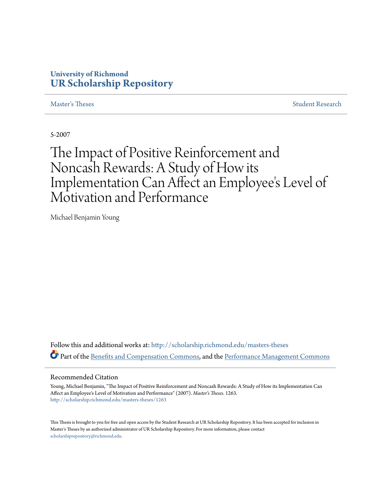# **University of Richmond [UR Scholarship Repository](http://scholarship.richmond.edu?utm_source=scholarship.richmond.edu%2Fmasters-theses%2F1263&utm_medium=PDF&utm_campaign=PDFCoverPages)**

[Master's Theses](http://scholarship.richmond.edu/masters-theses?utm_source=scholarship.richmond.edu%2Fmasters-theses%2F1263&utm_medium=PDF&utm_campaign=PDFCoverPages) [Student Research](http://scholarship.richmond.edu/student-research?utm_source=scholarship.richmond.edu%2Fmasters-theses%2F1263&utm_medium=PDF&utm_campaign=PDFCoverPages) (1999) and the Student Research (1999) and the Student Research (1999) and the Student Research

5-2007

# The Impact of Positive Reinforcement and Noncash Rewards: A Study of How its Implementation Can Affect an Employee 's Level of Motivation and Performance

Michael Benjamin Young

Follow this and additional works at: [http://scholarship.richmond.edu/masters-theses](http://scholarship.richmond.edu/masters-theses?utm_source=scholarship.richmond.edu%2Fmasters-theses%2F1263&utm_medium=PDF&utm_campaign=PDFCoverPages) Part of the [Benefits and Compensation Commons](http://network.bepress.com/hgg/discipline/1255?utm_source=scholarship.richmond.edu%2Fmasters-theses%2F1263&utm_medium=PDF&utm_campaign=PDFCoverPages), and the [Performance Management Commons](http://network.bepress.com/hgg/discipline/1256?utm_source=scholarship.richmond.edu%2Fmasters-theses%2F1263&utm_medium=PDF&utm_campaign=PDFCoverPages)

### Recommended Citation

Young, Michael Benjamin, "The Impact of Positive Reinforcement and Noncash Rewards: A Study of How its Implementation Can Affect an Employee's Level of Motivation and Performance" (2007). *Master's Theses*. 1263. [http://scholarship.richmond.edu/masters-theses/1263](http://scholarship.richmond.edu/masters-theses/1263?utm_source=scholarship.richmond.edu%2Fmasters-theses%2F1263&utm_medium=PDF&utm_campaign=PDFCoverPages)

This Thesis is brought to you for free and open access by the Student Research at UR Scholarship Repository. It has been accepted for inclusion in Master's Theses by an authorized administrator of UR Scholarship Repository. For more information, please contact [scholarshiprepository@richmond.edu.](mailto:scholarshiprepository@richmond.edu)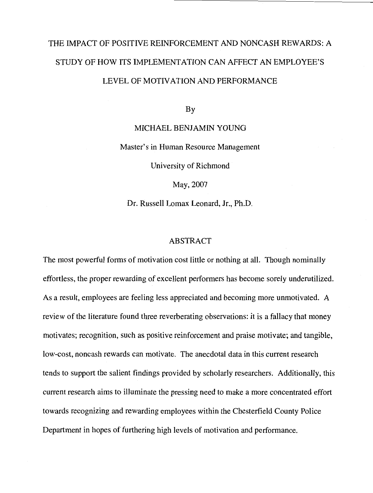# THE IMPACT OF POSITIVE REINFORCEMENT AND NONCASH REWARDS: A STUDY OF HOW ITS IMPLEMENTATION CAN AFFECT AN EMPLOYEE'S LEVEL OF MOTIVATION AND PERFORMANCE

By

# MICHAEL BENJAMIN YOUNG

Master's in Human Resource Management

University of Richmond

May,2007

Dr. Russell Lomax Leonard, Jr., Ph.D.

### ABSTRACT

The most powerful forms of motivation cost little or nothing at all. Though nominally effortless, the proper rewarding of excellent performers has become sorely underutilized. As a result, employees are feeling less appreciated and becoming more unmotivated. A review of the literature found three reverberating observations: it is a fallacy that money motivates; recognition, such as positive reinforcement and praise motivate; and tangible, low-cost, noncash rewards can motivate. The anecdotal data in this current research tends to support the salient findings provided by scholarly researchers. Additionally, this current research aims to illuminate the pressing need to make a more concentrated effort towards recognizing and rewarding employees within the Chesterfield County Police Department in hopes of furthering high levels of motivation and performance.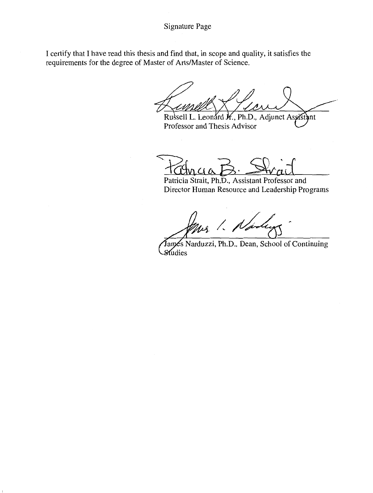Signature Page

I certify that I have read this thesis and find that, in scope and quality, it satisfies the requirements for the degree of Master of Arts/Master of Science .

Russell L. Leonard K., Ph.D., Adjunct Assistant

Professor and Thesis Advisor

 $\frac{1}{\text{CW}}$   $\alpha \rightarrow \text{V}$   $\alpha \rightarrow \text{V}$ 

Director Human Resource and Leadership Programs

mez 1. Náday

James Narduzzi, Ph.D., Dean, School of Continuing Studies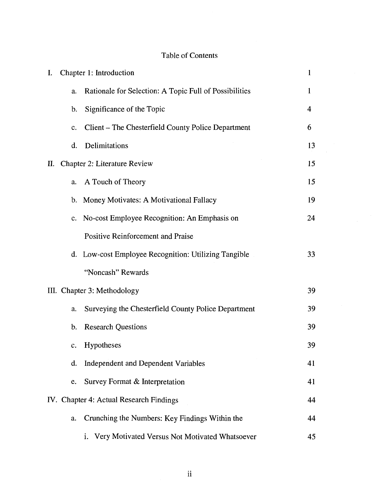# Table of Contents

| I. | Chapter 1: Introduction |                                                        |                         |
|----|-------------------------|--------------------------------------------------------|-------------------------|
|    | a.                      | Rationale for Selection: A Topic Full of Possibilities | 1                       |
|    | b.                      | Significance of the Topic                              | $\overline{\mathbf{4}}$ |
|    | c.                      | Client – The Chesterfield County Police Department     | 6                       |
|    | d.                      | Delimitations                                          | 13                      |
| Н. |                         | <b>Chapter 2: Literature Review</b>                    | 15                      |
|    | a.                      | A Touch of Theory                                      | 15                      |
|    | $\mathbf{b}$ .          | Money Motivates: A Motivational Fallacy                | 19                      |
|    |                         | c. No-cost Employee Recognition: An Emphasis on        | 24                      |
|    |                         | <b>Positive Reinforcement and Praise</b>               |                         |
|    | d.                      | Low-cost Employee Recognition: Utilizing Tangible      | 33                      |
|    |                         | "Noncash" Rewards                                      |                         |
|    |                         | III. Chapter 3: Methodology                            | 39                      |
|    | a.                      | Surveying the Chesterfield County Police Department    | 39                      |
|    | b.                      | <b>Research Questions</b>                              | 39                      |
|    | c.                      | Hypotheses                                             | 39                      |
|    | d.                      | Independent and Dependent Variables                    | 41                      |
|    | e.                      | Survey Format & Interpretation                         | 41                      |
|    |                         | IV. Chapter 4: Actual Research Findings                | 44                      |
|    | a.                      | Crunching the Numbers: Key Findings Within the         | 44                      |
|    |                         | Very Motivated Versus Not Motivated Whatsoever<br>i.   | 45                      |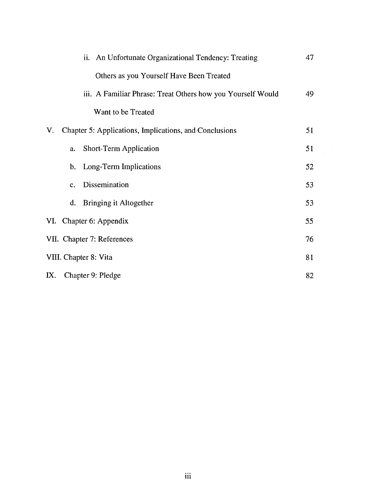|    |                            | ii. An Unfortunate Organizational Tendency: Treating        | 47 |
|----|----------------------------|-------------------------------------------------------------|----|
|    |                            | Others as you Yourself Have Been Treated                    |    |
|    |                            | iii. A Familiar Phrase: Treat Others how you Yourself Would | 49 |
|    |                            | Want to be Treated                                          |    |
| V. |                            | Chapter 5: Applications, Implications, and Conclusions      | 51 |
|    | a.                         | <b>Short-Term Application</b>                               | 51 |
|    |                            | b. Long-Term Implications                                   | 52 |
|    | C <sub>1</sub>             | Dissemination                                               | 53 |
|    |                            | d. Bringing it Altogether                                   | 53 |
|    |                            | VI. Chapter 6: Appendix                                     | 55 |
|    | VII. Chapter 7: References |                                                             |    |
|    |                            | VIII. Chapter 8: Vita                                       | 81 |
|    | IX. Chapter 9: Pledge      |                                                             |    |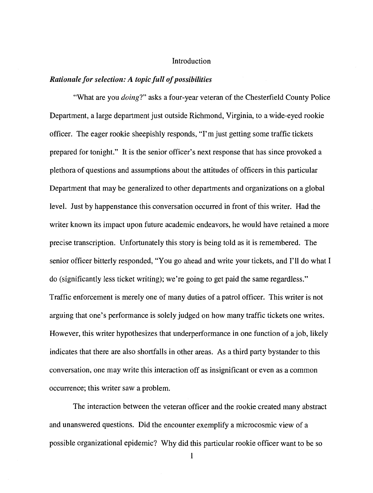#### Introduction

# *Rationale for selection: A topic full of possibilities*

"What are you *doing?"* asks a four-year veteran of the Chesterfield County Police Department, a large department just outside Richmond, Virginia, to a wide-eyed rookie officer. The eager rookie sheepishly responds, "I'm just getting some traffic tickets prepared for tonight." It is the senior officer's next response that has since provoked a plethora of questions and assumptions about the attitudes of officers in this particular Department that may be generalized to other departments and organizations on a global level. Just by happenstance this conversation occurred in front of this writer. Had the writer known its impact upon future academic endeavors, he would have retained a more precise transcription. Unfortunately this story is being told as it is remembered. The senior officer bitterly responded, "You go ahead and write your tickets, and I'll do what I do (significantly less ticket writing); we're going to get paid the same regardless." Traffic enforcement is merely one of many duties of a patrol officer. This writer is not arguing that one's performance is solely judged on how many traffic tickets one writes. However, this writer hypothesizes that underperformance in one function of a job, likely indicates that there are also shortfalls in other areas. As a third party bystander to this conversation, one may write this interaction off as insignificant or even as a common occurrence; this writer saw a problem.

The interaction between the veteran officer and the rookie created many abstract and unanswered questions. Did the encounter exemplify a microcosmic view of a possible organizational epidemic? Why did this particular rookie officer want to be so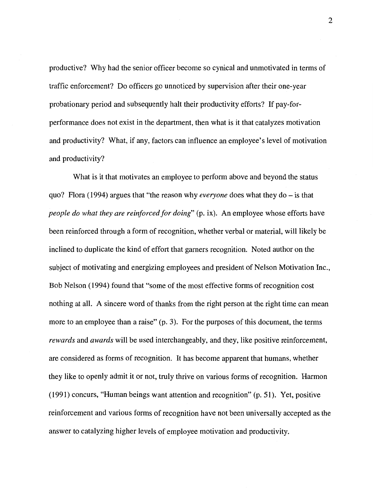productive? Why had the senior officer become so cynical and unmotivated in terms of traffic enforcement? Do officers go unnoticed by supervision after their one-year probationary period and subsequently halt their productivity efforts? If pay-forperformance does not exist in the department, then what is it that catalyzes motivation and productivity? What, if any, factors can influence an employee's level of motivation and productivity?

What is it that motivates an employee to perform above and beyond the status quo? Flora (1994) argues that "the reason why *everyone* does what they do - is that *people do what they are reinforced for doing*" (p. ix). An employee whose efforts have been reinforced through a form of recognition, whether verbal or material, will likely be inclined to duplicate the kind of effort that gamers recognition. Noted author on the subject of motivating and energizing employees and president of Nelson Motivation Inc., Bob Nelson ( 1994) found that "some of the most effective forms of recognition cost nothing at all. A sincere word of thanks from the right person at the right time can mean more to an employee than a raise" (p. 3). For the purposes of this document, the terms *rewards* and *awards* will be used interchangeably, and they, like positive reinforcement, are considered as forms of recognition. It has become apparent that humans, whether they like to openly admit it or not, truly thrive on various forms of recognition. Harmon (1991) concurs, "Human beings want attention and recognition" (p. 51). Yet, positive reinforcement and various forms of recognition have not been universally accepted as the answer to catalyzing higher levels of employee motivation and productivity.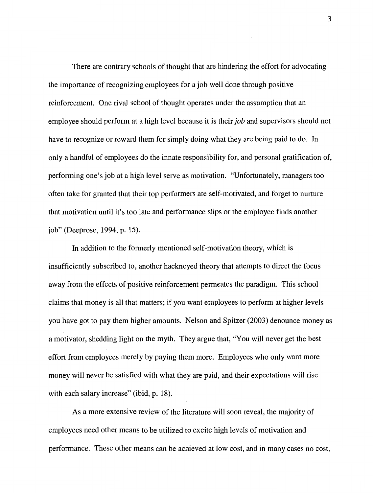There are contrary schools of thought that are hindering the effort for advocating the importance of recognizing employees for a job well done through positive reinforcement. One rival school of thought operates under the assumption that an employee should perform at a high level because it is their *job* and supervisors should not have to recognize or reward them for simply doing what they are being paid to do. In only a handful of employees do the innate responsibility for, and personal gratification of, performing one's job at a high level serve as motivation. "Unfortunately, managers too often take for granted that their top performers are self-motivated, and forget to nurture that motivation until it's too late and performance slips or the employee finds another job" (Deeprose, 1994, p. 15).

In addition to the formerly mentioned self-motivation theory, which is insufficiently subscribed to, another hackneyed theory that attempts to direct the focus away from the effects of positive reinforcement permeates the paradigm. This school claims that money is all that matters; if you want employees to perform at higher levels you have got to pay them higher amounts. Nelson and Spitzer (2003) denounce money as a motivator, shedding light on the myth. They argue that, "You will never get the best effort from employees merely by paying them more. Employees who only want more money will never be satisfied with what they are paid, and their expectations will rise with each salary increase" (ibid, p. 18).

As a more extensive review of the literature will soon reveal, the majority of employees need other means to be utilized to excite high levels of motivation and performance. These other means can be achieved at low cost, and in many cases no cost,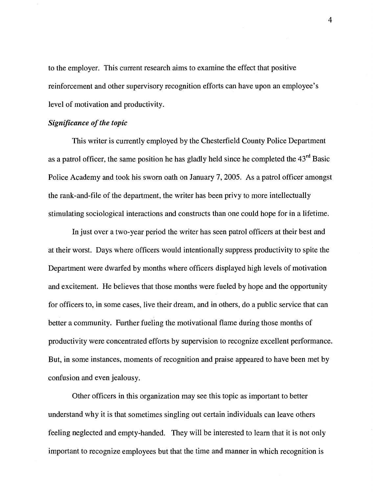to the employer. This current research aims to examine the effect that positive reinforcement and other supervisory recognition efforts can have upon an employee's level of motivation and productivity.

# *Significance of the topic*

This writer is currently employed by the Chesterfield County Police Department as a patrol officer, the same position he has gladly held since he completed the  $43<sup>rd</sup>$  Basic Police Academy and took his sworn oath on January 7, 2005. As a patrol officer amongst the rank-and-file of the department, the writer has been privy to more intellectually stimulating sociological interactions and constructs than one could hope for in a lifetime.

In just over a two-year period the writer has seen patrol officers at their best and at their worst. Days where officers would intentionally suppress productivity to spite the Department were dwarfed by months where officers displayed high levels of motivation and excitement. He believes that those months were fueled by hope and the opportunity for officers to, in some cases, live their dream, and in others, do a public service that can better a community. Further fueling the motivational flame during those months of productivity were concentrated efforts by supervision to recognize excellent performance. But, in some instances, moments of recognition and praise appeared to have been met by confusion and even jealousy.

Other officers in this organization may see this topic as important to better understand why it is that sometimes singling out certain individuals can leave others feeling neglected and empty-handed. They will be interested to learn that it is not only important to recognize employees but that the time and manner in which recognition is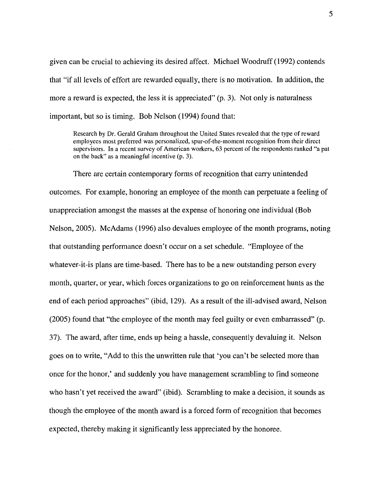given can be crucial to achieving its desired affect. Michael Woodruff ( 1992) contends that "if all levels of effort are rewarded equally, there is no motivation. In addition, the more a reward is expected, the less it is appreciated" (p. 3). Not only is naturalness important, but so is timing. Bob Nelson (1994) found that:

Research by Dr. Gerald Graham throughout the United States revealed that the type ofreward employees most preferred was personalized, spur-of-the-moment recognition from their direct supervisors. In a recent survey of American workers, 63 percent of the respondents ranked "a pat on the back" as a meaningful incentive (p. 3).

There are certain contemporary forms of recognition that carry unintended outcomes. For example, honoring an employee of the month can perpetuate a feeling of unappreciation amongst the masses at the expense of honoring one individual (Bob Nelson, 2005). McAdams (1996) also devalues employee of the month programs, noting that outstanding performance doesn't occur on a set schedule. "Employee of the whatever-it-is plans are time-based. There has to be a new outstanding person every month, quarter, or year, which forces organizations to go on reinforcement hunts as the end of each period approaches" (ibid, 129). As a result of the ill-advised award, Nelson (2005) found that "the employee of the month may feel guilty or even embarrassed" (p. 37). The award, after time, ends up being a hassle, consequently devaluing it. Nelson goes on to write, "Add to this the unwritten rule that 'you can't be selected more than once for the honor,' and suddenly you have management scrambling to find someone who hasn't yet received the award" (ibid). Scrambling to make a decision, it sounds as though the employee of the month award is a forced form of recognition that becomes expected, thereby making it significantly less appreciated by the honoree.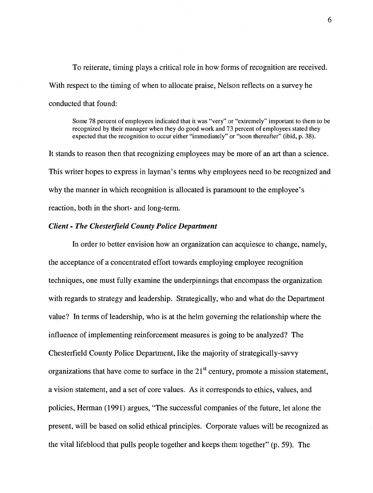To reiterate, timing plays a critical role in how forms of recognition are received. With respect to the timing of when to allocate praise, Nelson reflects on a survey he conducted that found:

Some 78 percent of employees indicated that it was "very" or "extremely" important to them to be recognized by their manager when they do good work and 73 percent of employees stated they expected that the recognition to occur either "immediately" or "soon thereafter" (ibid, p. 38).

It stands to reason then that recognizing employees may be more of an art than a science. This writer hopes to express in layman's terms why employees need to be recognized and why the manner in which recognition is allocated is paramount to the employee's reaction, both in the short- and long-term.

# *Client* - *The Chesterfield County Police Department*

In order to better envision how an organization can acquiesce to change, namely, the acceptance of a concentrated effort towards employing employee recognition techniques, one must fully examine the underpinnings that encompass the organization with regards to strategy and leadership. Strategically, who and what do the Department value? In terms of leadership, who is at the helm governing the relationship where the influence of implementing reinforcement measures is going to be analyzed? The Chesterfield County Police Department, like the majority of strategically-savvy organizations that have come to surface in the  $21<sup>st</sup>$  century, promote a mission statement, a vision statement, and a set of core values. As it corresponds to ethics, values, and policies, Herman ( 1991) argues, "The successful companies of the future, let alone the present, will be based on solid ethical principles. Corporate values will be recognized as the vital lifeblood that pulls people together and keeps them together" (p. 59). The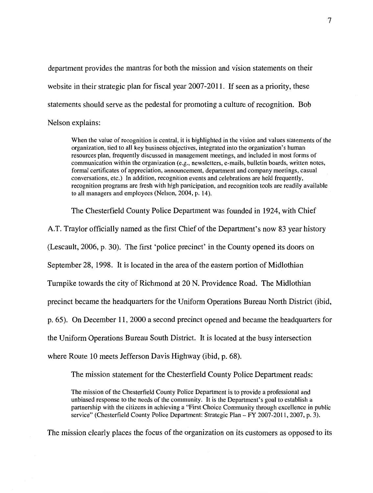department provides the mantras for both the mission and vision statements on their website in their strategic plan for fiscal year 2007-2011. If seen as a priority, these statements should serve as the pedestal for promoting a culture of recognition. Bob

Nelson explains:

When the value of recognition is central, it is highlighted in the vision and values statements of the organization, tied to all key business objectives, integrated into the organization's human resources plan, frequently discussed in management meetings, and included in most forms of communication within the organization (e.g., newsletters, e-mails, bulletin boards, written notes, formal certificates of appreciation, announcement, department and company meetings, casual conversations, etc.) In addition, recognition events and celebrations are held frequently, recognition programs are fresh with high participation, and recognition tools are readily available to all managers and employees (Nelson, 2004, p. 14).

The Chesterfield County Police Department was founded in 1924, with Chief

A.T. Traylor officially named as the first Chief of the Department's now 83 year history

(Lescault, 2006, p. 30). The first 'police precinct' in the County opened its doors on

September 28, 1998. It is located in the area of the eastern portion of Midlothian

Turnpike towards the city of Richmond at 20 N. Providence Road. The Midlothian

precinct became the headquarters for the Uniform Operations Bureau North District (ibid,

p. 65). On December 11, 2000 a second precinct opened and became the headquarters for

the Uniform Operations Bureau South District. It is located at the busy intersection

where Route 10 meets Jefferson Davis Highway (ibid, p. 68).

The mission statement for the Chesterfield County Police Department reads:

The mission of the Chesterfield County Police Department is to provide a professional and unbiased response to the needs of the community. It is the Department's goal to establish a partnership with the citizens in achieving a "First Choice Community through excellence in public service" (Chesterfield County Police Department: Strategic Plan - FY 2007-2011, 2007, p. 3).

The mission clearly places the focus of the organization on its customers as opposed to its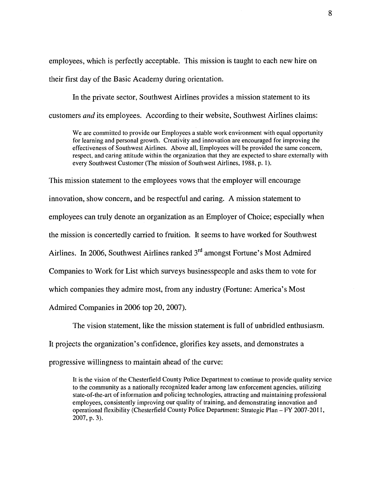employees, which is perfectly acceptable. This mission is taught to each new hire on their first day of the Basic Academy during orientation.

In the private sector, Southwest Airlines provides a mission statement to its customers *and* its employees. According to their website, Southwest Airlines claims:

We are committed to provide our Employees a stable work environment with equal opportunity for learning and personal growth. Creativity and innovation are encouraged for improving the effectiveness of Southwest Airlines. Above all, Employees will be provided the same concern, respect, and caring attitude within the organization that they are expected to share externally with every Southwest Customer (The mission of Southwest Airlines, 1988, p. I).

This mission statement to the employees vows that the employer will encourage innovation, show concern, and be respectful and caring. A mission statement to employees can truly denote an organization as an Employer of Choice; especially when the mission is concertedly carried to fruition. It seems to have worked for Southwest Airlines. In 2006, Southwest Airlines ranked 3rd amongst Fortune's Most Admired Companies to Work for List which surveys businesspeople and asks them to vote for which companies they admire most, from any industry (Fortune: America's Most Admired Companies in 2006 top 20, 2007).

The vision statement, like the mission statement is full of unbridled enthusiasm. It projects the organization's confidence, glorifies key assets, and demonstrates a

progressive willingness to maintain ahead of the curve:

It is the vision of the Chesterfield County Police Department to continue to provide quality service to the community as a nationally recognized leader among law enforcement agencies, utilizing state-of-the-art of information and policing technologies, attracting and maintaining professional employees, consistently improving our quality of training, and demonstrating innovation and operational flexibility (Chesterfield County Police Department: Strategic Plan - FY 2007-2011, 2007, p. 3).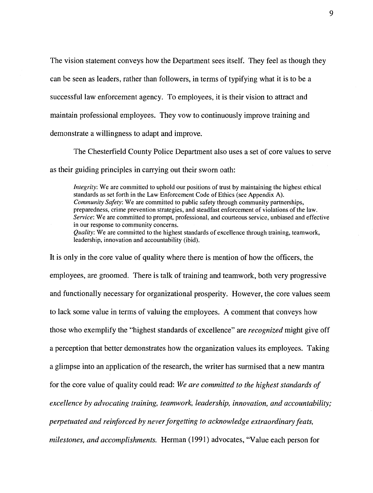The vision statement conveys how the Department sees itself. They feel as though they can be seen as leaders, rather than followers, in terms of typifying what it is to be a successful law enforcement agency. To employees, it is their vision to attract and maintain professional employees. They vow to continuously improve training and demonstrate a willingness to adapt and improve.

The Chesterfield County Police Department also uses a set of core values to serve as their guiding principles in carrying out their sworn oath:

*Integrity:* We are committed to uphold our positions of trust by maintaining the highest ethical standards as set forth in the Law Enforcement Code of Ethics (see Appendix A). *Community Safety:* We are committed to public safety through community partnerships, preparedness, crime prevention strategies, and steadfast enforcement of violations of the law. *Service:* We are committed to prompt, professional, and courteous service, unbiased and effective in our response to community concerns. *Quality:* We are committed to the highest standards of excellence through training, teamwork, leadership, innovation and accountability (ibid).

It is only in the core value of quality where there is mention of how the officers, the employees, are groomed. There is talk of training and teamwork, both very progressive and functionally necessary for organizational prosperity. However, the core values seem to lack some value in terms of valuing the employees. A comment that conveys how those who exemplify the "highest standards of excellence" are *recognized* might give off a perception that better demonstrates how the organization values its employees. Taking a glimpse into an application of the research, the writer has surmised that a new mantra for the core value of quality could read: *We are committed to the highest standards of excellence by advocating training, teamwork, leadership, innovation, and accountability; perpetuated and reinforced by never forgetting to acknowledge extraordinary feats, milestones, and accomplishments.* Herman ( 1991) advocates, "Value each person for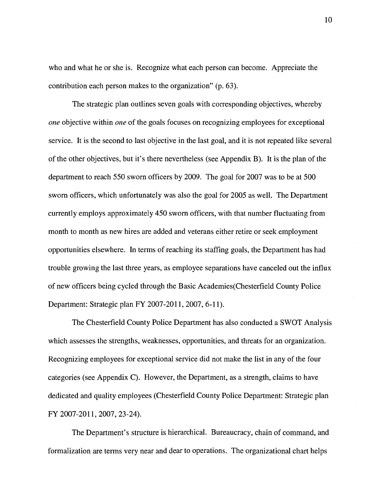who and what he or she is. Recognize what each person can become. Appreciate the contribution each person makes to the organization" (p. 63).

The strategic plan outlines seven goals with corresponding objectives, whereby *one* objective within *one* of the goals focuses on recognizing employees for exceptional service. It is the second to last objective in the last goal, and it is not repeated like several of the other objectives, but it's there nevertheless (see Appendix B). It is the plan of the department to reach 550 sworn officers by 2009. The goal for 2007 was to be at 500 sworn officers, which unfortunately was also the goal for 2005 as well. The Department currently employs approximately 450 sworn officers, with that number fluctuating from month to month as new hires are added and veterans either retire or seek employment opportunities elsewhere. In terms of reaching its staffing goals, the Department has had trouble growing the last three years, as employee separations have canceled out the influx of new officers being cycled through the Basic Academies( Chesterfield County Police Department: Strategic plan FY 2007-2011, 2007, 6-11).

The Chesterfield County Police Department has also conducted a SWOT Analysis which assesses the strengths, weaknesses, opportunities, and threats for an organization. Recognizing employees for exceptional service did not make the list in any of the four categories (see Appendix C). However, the Department, as a strength, claims to have dedicated and quality employees (Chesterfield County Police Department: Strategic plan FY 2007-2011, 2007, 23-24).

The Department's structure is hierarchical. Bureaucracy, chain of command, and formalization are terms very near and dear to operations. The organizational chart helps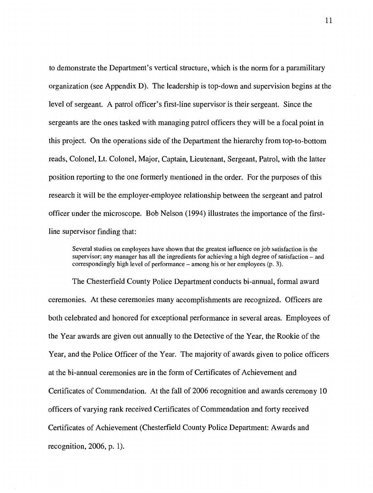to demonstrate the Department's vertical structure, which is the norm for a paramilitary organization (see Appendix D). The leadership is top-down and supervision begins at the level of sergeant. A patrol officer's first-line supervisor is their sergeant. Since the sergeants are the ones tasked with managing patrol officers they will be a focal point in this project. On the operations side of the Department the hierarchy from top-to-bottom reads, Colonel, Lt. Colonel, Major, Captain, Lieutenant, Sergeant, Patrol, with the latter position reporting to the one formerly mentioned in the order. For the purposes of this research it will be the employer-employee relationship between the sergeant and patrol officer under the microscope. Bob Nelson (1994) illustrates the importance of the firstline supervisor finding that:

Several studies on employees have shown that the greatest influence on job satisfaction is the supervisor; any manager has all the ingredients for achieving a high degree of satisfaction - and correspondingly high level of performance – among his or her employees (p. 3).

The Chesterfield County Police Department conducts bi-annual, formal award ceremonies. At these ceremonies many accomplishments are recognized. Officers are both celebrated and honored for exceptional performance in several areas. Employees of the Year awards are given out annually to the Detective of the Year, the Rookie of the Year, and the Police Officer of the Year. The majority of awards given to police officers at the bi-annual ceremonies are in the form of Certificates of Achievement and Certificates of Commendation. At the fall of 2006 recognition and awards ceremony 10 officers of varying rank received Certificates of Commendation and forty received Certificates of Achievement (Chesterfield County Police Department: Awards and recognition, 2006, p. 1).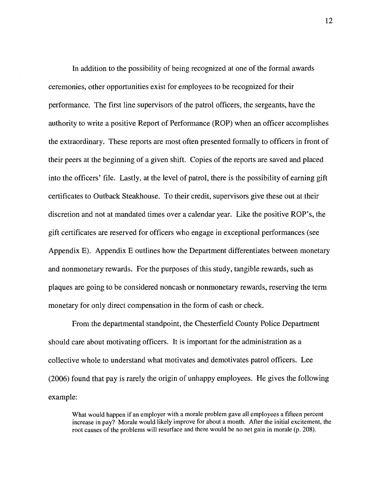In addition to the possibility of being recognized at one of the formal awards ceremonies, other opportunities exist for employees to be recognized for their performance. The first line supervisors of the patrol officers, the sergeants, have the authority to write a positive Report of Performance (ROP) when an officer accomplishes the extraordinary. These reports are most often presented formally to officers in front of their peers at the beginning of a given shift. Copies of the reports are saved and placed into the officers' file. Lastly, at the level of patrol, there is the possibility of earning gift certificates to Outback Steakhouse. To their credit, supervisors give these out at their discretion and not at mandated times over a calendar year. Like the positive ROP's, the gift certificates are reserved for officers who engage in exceptional performances (see Appendix E). Appendix E outlines how the Department differentiates between monetary and nonmonetary rewards. For the purposes of this study, tangible rewards, such as plaques are going to be considered noncash or nonmonetary rewards, reserving the term monetary for only direct compensation in the form of cash or check.

From the departmental standpoint, the Chesterfield County Police Department should care about motivating officers. It is important for the administration as a collective whole to understand what motivates and demotivates patrol officers. Lee (2006) found that pay is rarely the origin of unhappy employees. He gives the following example:

What would happen if an employer with a morale problem gave all employees a fifteen percent increase in pay? Morale would likely improve for about a month. After the initial excitement, the root causes of the problems will resurface and there would be no net gain in morale (p. 208).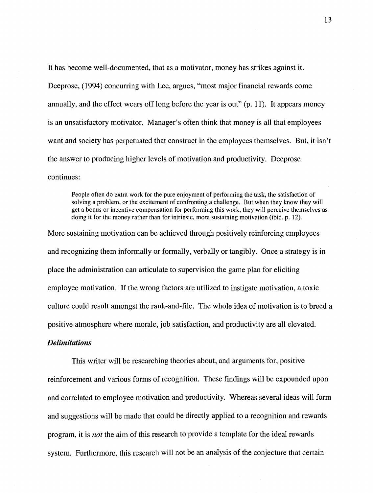It has become well-documented, that as a motivator, money has strikes against it. Deeprose, (1994) concurring with Lee, argues, "most major financial rewards come annually, and the effect wears off long before the year is out" (p. 11). It appears money is an unsatisfactory motivator. Manager's often think that money is all that employees want and society has perpetuated that construct in the employees themselves. But, it isn't the answer to producing higher levels of motivation and productivity. Deeprose continues:

People often do extra work for the pure enjoyment of performing the task, the satisfaction of solving a problem, or the excitement of confronting a challenge. But when they know they will get a bonus or incentive compensation for performing this work, they will perceive themselves as doing it for the money rather than for intrinsic, more sustaining motivation (ibid, p. 12).

More sustaining motivation can be achieved through positively reinforcing employees and recognizing them informally or formally, verbally or tangibly. Once a strategy is in place the administration can articulate to supervision the game plan for eliciting employee motivation. If the wrong factors are utilized to instigate motivation, a toxic culture could result amongst the rank-and-file. The whole idea of motivation is to breed a positive atmosphere where morale, job satisfaction, and productivity are all elevated.

# *Delimitations*

This writer will be researching theories about, and arguments for, positive reinforcement and various forms of recognition. These findings will be expounded upon and correlated to employee motivation and productivity. Whereas several ideas will form and suggestions will be made that could be directly applied to a recognition and rewards program, it is *not* the aim of this research to provide a template for the ideal rewards system. Furthermore, this research will not be an analysis of the conjecture that certain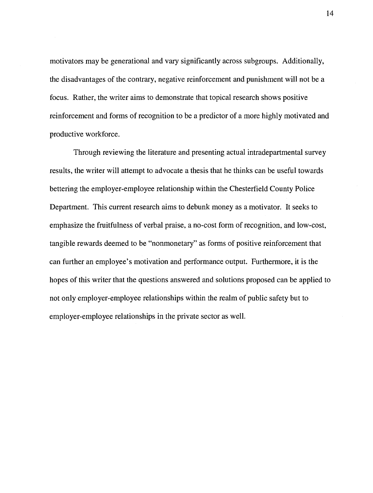motivators may be generational and vary significantly across subgroups. Additionally, the disadvantages of the contrary, negative reinforcement and punishment will not be a focus. Rather, the writer aims to demonstrate that topical research shows positive reinforcement and forms of recognition to be a predictor of a more highly motivated and productive workforce.

Through reviewing the literature and presenting actual intradepartmental survey results, the writer will attempt to advocate a thesis that he thinks can be useful towards bettering the employer-employee relationship within the Chesterfield County Police Department. This current research aims to debunk money as a motivator. It seeks to emphasize the fruitfulness of verbal praise, a no-cost form of recognition, and low-cost, tangible rewards deemed to be "nonmonetary" as forms of positive reinforcement that can further an employee's motivation and performance output. Furthermore, it is the hopes of this writer that the questions answered and solutions proposed can be applied to not only employer-employee relationships within the realm of public safety but to employer-employee relationships in the private sector as well.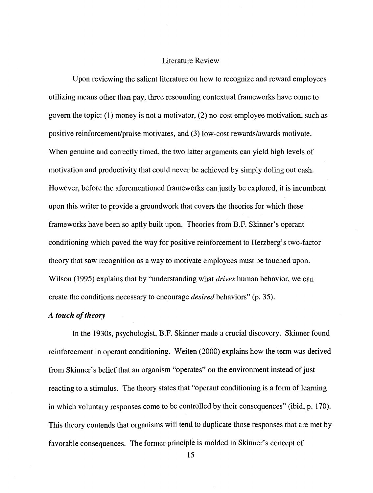# Literature Review

Upon reviewing the salient literature on how to recognize and reward employees utilizing means other than pay, three resounding contextual frameworks have come to govern the topic: (1) money is not a motivator, (2) no-cost employee motivation, such as positive reinforcement/praise motivates, and (3) low-cost rewards/awards motivate. When genuine and correctly timed, the two latter arguments can yield high levels of motivation and productivity that could never be achieved by simply doling out cash. However, before the aforementioned frameworks can justly be explored, it is incumbent upon this writer to provide a groundwork that covers the theories for which these frameworks have been so aptly built upon. Theories from B.F. Skinner's operant conditioning which paved the way for positive reinforcement to Herzberg's two-factor theory that saw recognition as a way to motivate employees must be touched upon. Wilson (1995) explains that by "understanding what *drives* human behavior, we can create the conditions necessary to encourage *desired* behaviors" (p. 35).

# *A touch of theory*

In the 1930s, psychologist, B.F. Skinner made a crucial discovery. Skinner found reinforcement in operant conditioning. Weiten (2000) explains how the term was derived from Skinner's belief that an organism "operates" on the environment instead of just reacting to a stimulus. The theory states that "operant conditioning is a form of learning in which voluntary responses come to be controlled by their consequences" (ibid, p. 170). This theory contends that organisms will tend to duplicate those responses that are met by favorable consequences. The former principle is molded in Skinner's concept of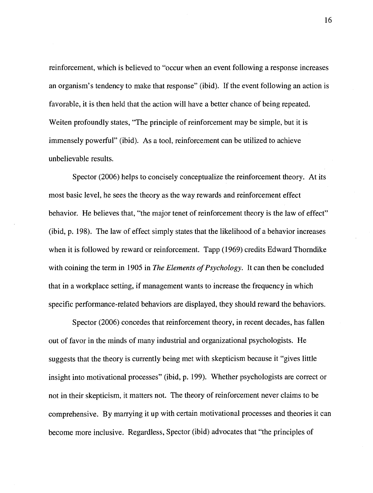reinforcement, which is believed to "occur when an event following a response increases an organism's tendency to make that response" (ibid). If the event following an action is favorable, it is then held that the action will have a better chance of being repeated. Weiten profoundly states, "The principle of reinforcement may be simple, but it is immensely powerful" (ibid). As a tool, reinforcement can be utilized to achieve unbelievable results.

Spector (2006) helps to concisely conceptualize the reinforcement theory. At its most basic level, he sees the theory as the way rewards and reinforcement effect behavior. He believes that, "the major tenet of reinforcement theory is the law of effect" (ibid, p. 198). The law of effect simply states that the likelihood of a behavior increases when it is followed by reward or reinforcement. Tapp ( 1969) credits Edward Thorndike with coining the term in 1905 in *The Elements of Psychology.* It can then be concluded that in a workplace setting, if management wants to increase the frequency in which specific performance-related behaviors are displayed, they should reward the behaviors.

Spector (2006) concedes that reinforcement theory, in recent decades, has fallen out of favor in the minds of many industrial and organizational psychologists. He suggests that the theory is currently being met with skepticism because it "gives little insight into motivational processes" (ibid, p. 199). Whether psychologists are correct or not in their skepticism, it matters not. The theory of reinforcement never claims to be comprehensive. By marrying it up with certain motivational processes and theories it can become more inclusive. Regardless, Spector (ibid) advocates that "the principles of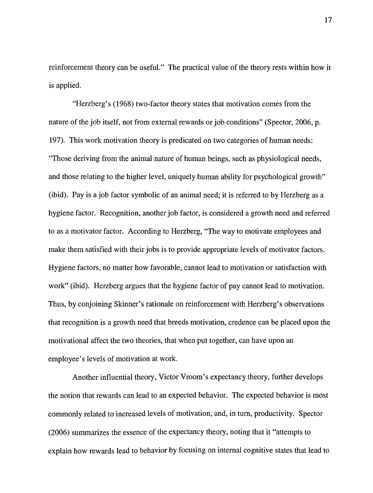reinforcement theory can be useful." The practical value of the theory rests within how it is applied.

"Herzberg's (1968) two-factor theory states that motivation comes from the nature of the job itself, not from external rewards or job conditions" (Spector, 2006, p. 197). This work motivation theory is predicated on two categories of human needs: "Those deriving from the animal nature of human beings, such as physiological needs, and those relating to the higher level, uniquely human ability for psychological growth" (ibid). Pay is a job factor symbolic of an animal need; it is referred to by Herzberg as a hygiene factor. Recognition, another job factor, is considered a growth need and referred to as a motivator factor. According to Herzberg, "The way to motivate employees and make them satisfied with their jobs is to provide appropriate levels of motivator factors. Hygiene factors, no matter how favorable, cannot lead to motivation or satisfaction with work" (ibid). Herzberg argues that the hygiene factor of pay cannot lead to motivation. Thus, by conjoining Skinner's rationale on reinforcement with Herzberg's observations that recognition is a growth need that breeds motivation, credence can be placed upon the motivational affect the two theories, that when put together, can have upon an employee's levels of motivation at work.

Another influential theory, Victor Vroom's expectancy theory, further develops the notion that rewards can lead to an expected behavior. The expected behavior is most commonly related to increased levels of motivation, and, in turn, productivity. Spector (2006) summarizes the essence of the expectancy theory, noting that it "attempts to explain how rewards lead to behavior by focusing on internal cognitive states that lead to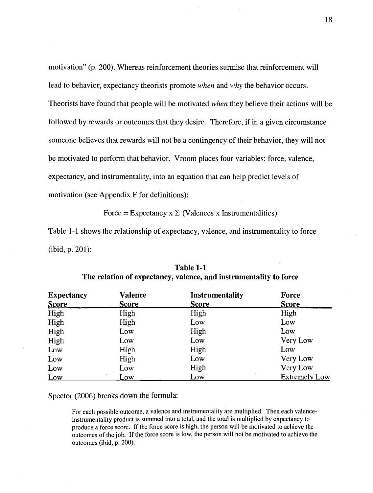motivation" (p. 200). Whereas reinforcement theories surmise that reinforcement will lead to behavior, expectancy theorists promote *when* and *why* the behavior occurs. Theorists have found that people will be motivated *when* they believe their actions will be followed by rewards or outcomes that they desire. Therefore, if in a given circumstance someone believes that rewards will not be a contingency of their behavior, they will not be motivated to perform that behavior. Vroom places four variables: force, valence, expectancy, and instrumentality, into an equation that can help predict levels of motivation (see Appendix F for definitions):

Force = Expectancy  $x \Sigma$  (Valences x Instrumentalities)

Table **1-1** shows the relationship of expectancy, valence, and instrumentality to force (ibid, p. 201):

| <b>Expectancy</b> | <b>Valence</b> | Instrumentality | <b>Force</b>         |
|-------------------|----------------|-----------------|----------------------|
| <b>Score</b>      | <b>Score</b>   | <b>Score</b>    | <b>Score</b>         |
| High              | High           | High            | High                 |
| High              | High           | Low             | Low                  |
| High              | Low            | High            | Low                  |
| High              | Low            | Low             | Very Low             |
| Low               | High           | High            | Low                  |
| Low               | High           | Low             | Very Low             |
| Low               | Low            | High            | Very Low             |
| Low               | Low            | Low             | <b>Extremely Low</b> |

# **Table 1-1 The relation of expectancy, valence, and instrumentality to force**

Spector (2006) breaks down the formula:

For each possible outcome, a valence and instrumentality are multiplied. Then each valenceinstrumentality product is summed into a total, and the total is multiplied by expectancy to produce a force score. If the force score is high, the person will be motivated to achieve the outcomes of the job. If the force score is low, the person will not be motivated to achieve the outcomes (ibid, p. 200).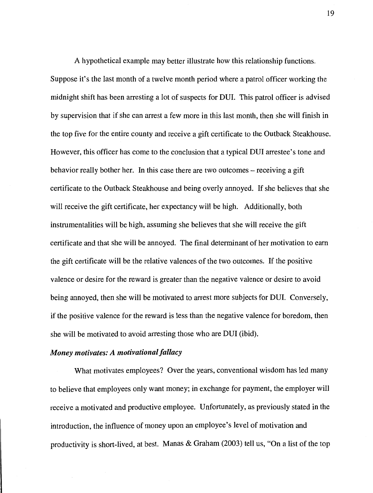A hypothetical example may better illustrate how this relationship functions. Suppose it's the last month of a twelve month period where a patrol officer working the midnight shift has been arresting a lot of suspects for DUI. This patrol officer is advised by supervision that if she can arrest a few more in this last month, then she will finish in the top five for the entire county and receive a gift certificate to the Outback Steakhouse. However, this officer has come to the conclusion that a typical DUI arrestee's tone and behavior really bother her. In this case there are two outcomes – receiving a gift certificate to the Outback Steakhouse and being overly annoyed. If she believes that she will receive the gift certificate, her expectancy will be high. Additionally, both instrumentalities will be high, assuming she believes that she will receive the gift certificate and that she will be annoyed. The final determinant of her motivation to earn the gift certificate will be the relative valences of the two outcomes. If the positive valence or desire for the reward is greater than the negative valence or desire to avoid being annoyed, then she will be motivated to arrest more subjects for DUI. Conversely, if the positive valence for the reward is less than the negative valence for boredom, then she will be motivated to avoid arresting those who are DUI (ibid).

# *Money motivates: A motivational fallacy*

What motivates employees? Over the years, conventional wisdom has led many to believe that employees only want money; in exchange for payment, the employer will receive a motivated and productive employee. Unfortunately, as previously stated in the introduction, the influence of money upon an employee's level of motivation and productivity is short-lived, at best. Manas & Graham (2003) tell us, "On a list of the top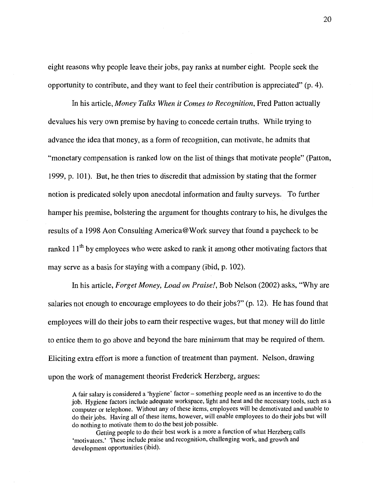eight reasons why people leave their jobs, pay ranks at number eight. People seek the opportunity to contribute, and they want to feel their contribution is appreciated" (p. 4 ).

In his article, *Money Talks When it Comes to Recognition,* Fred Patton actually devalues his very own premise by having to concede certain truths. While trying to advance the idea that money, as a form of recognition, can motivate, he admits that "monetary compensation is ranked low on the list of things that motivate people" (Patton, 1999, p. 101). But, he then tries to discredit that admission by stating that the former notion is predicated solely upon anecdotal information and faulty surveys. To further hamper his premise, bolstering the argument for thoughts contrary to his, he divulges the results of a 1998 Aon Consulting America@Work survey that found a paycheck to be ranked  $11<sup>th</sup>$  by employees who were asked to rank it among other motivating factors that may serve as a basis for staying with a company (ibid, p. 102).

In his article, *Forget Money, Load on Praise!,* Bob Nelson (2002) asks, "Why are salaries not enough to encourage employees to do their jobs?" (p. 12). He has found that employees will do their jobs to earn their respective wages, but that money will do little to entice them to go above and beyond the bare minimum that may be required of them. Eliciting extra effort is more a function of treatment than payment. Nelson, drawing upon the work of management theorist Frederick Herzberg, argues:

A fair salary is considered a 'hygiene' factor - something people need as an incentive to do the job. Hygiene factors include adequate workspace, light and heat and the necessary tools, such as a computer or telephone. Without any of these items, employees will be demotivated and unable to do their jobs. Having all of these items, however, will enable employees to do their jobs but will do nothing to motivate them to do the best job possible.

Getting people to do their best work is a more a function of what Herzberg calls 'motivators.' These include praise and recognition, challenging work, and growth and development opportunities (ibid).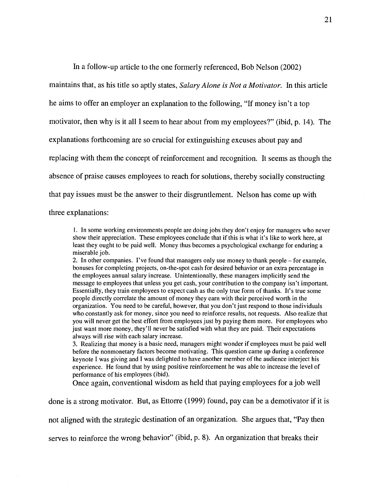In a follow-up article to the one formerly referenced, Bob Nelson (2002) maintains that, as his title so aptly states, *Salary Alone is Not a Motivator.* In this article he aims to offer an employer an explanation to the following, "If money isn't a top motivator, then why is it all I seem to hear about from my employees?" (ibid, p. 14). The explanations forthcoming are so crucial for extinguishing excuses about pay and replacing with them the concept of reinforcement and recognition. It seems as though the absence of praise causes employees to reach for solutions, thereby socially constructing that pay issues must be the answer to their disgruntlement. Nelson has come up with

three explanations:

1. In some working environments people are doing jobs they don't enjoy for managers who never show their appreciation. These employees conclude that if this is what it's like to work here, at least they ought to be paid well. Money thus becomes a psychological exchange for enduring a miserable job.

2. In other companies. I've found that managers only use money to thank people - for example, bonuses for completing projects, on-the-spot cash for desired behavior or an extra percentage in the employees annual salary increase. Unintentionally, these managers implicitly send the message to employees that unless you get cash, your contribution to the company isn't important. Essentially, they train employees to expect cash as the only true form of thanks. It's true some people directly correlate the amount of money they earn with their perceived worth in the organization. You need to be careful, however, that you don't just respond to those individuals who constantly ask for money, since you need to reinforce results, not requests. Also realize that you will never get the best effort from employees just by paying them more. For employees who just want more money, they'll never be satisfied with what they are paid. Their expectations always will rise with each salary increase.

3. Realizing that money is a basic need, managers might wonder if employees must be paid well before the nonmonetary factors become motivating. This question came up during a conference keynote I was giving and I was delighted to have another member of the audience interject his experience. He found that by using positive reinforcement he was able to increase the level of performance of his employees (ibid).

Once again, conventional wisdom as held that paying employees for a job well

done is a strong motivator. But, as Ettorre (1999) found, pay can be a demotivator if it is

not aligned with the strategic destination of an organization. She argues that, "Pay then

serves to reinforce the wrong behavior" (ibid, p. 8). An organization that breaks their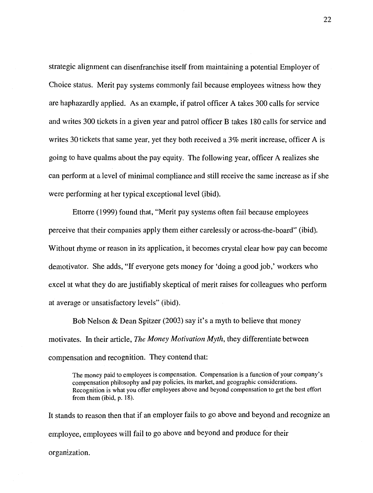strategic alignment can disenfranchise itself from maintaining a potential Employer of Choice status. Merit pay systems commonly fail because employees witness how they are haphazardly applied. As an example, if patrol officer A takes 300 calls for service and writes 300 tickets in a given year and patrol officer B takes 180 calls for service and writes 30 tickets that same year, yet they both received a 3% merit increase, officer A is going to have qualms about the pay equity. The following year, officer A realizes she can perform at a level of minimal compliance and still receive the same increase as if she were performing at her typical exceptional level (ibid).

Ettorre (1999) found that, "Merit pay systems often fail because employees perceive that their companies apply them either carelessly or across-the-board" (ibid). Without rhyme or reason in its application, it becomes crystal clear how pay can become demotivator. She adds, "If everyone gets money for 'doing a good job,' workers who excel at what they do are justifiably skeptical of merit raises for colleagues who perform at average or unsatisfactory levels" (ibid).

Bob Nelson & Dean Spitzer (2003) say it's a myth to believe that money motivates. In their article, *The Money Motivation Myth,* they differentiate between compensation and recognition. They contend that:

The money paid to employees is compensation. Compensation is a function of your company's compensation philosophy and pay policies, its market, and geographic considerations. Recognition is what you offer employees above and beyond compensation to get the best effort from them (ibid, p. 18).

It stands to reason then that if an employer fails to go above and beyond and recognize an employee, employees will fail to go above and beyond and produce for their organization.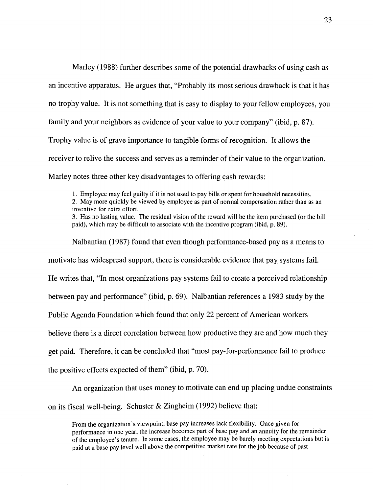Marley (1988) further describes some of the potential drawbacks of using cash as an incentive apparatus. He argues that, "Probably its most serious drawback is that it has no trophy value. It is not something that is easy to display to your fellow employees, you family and your neighbors as evidence of your value to your company" (ibid, p. 87). Trophy value is of grave importance to tangible forms of recognition. It allows the receiver to relive the success and serves as a reminder of their value to the organization. Marley notes three other key disadvantages to offering cash rewards:

1. Employee may feel guilty if it is not used to pay bills or spent for household necessities.

2. May more quickly be viewed by employee as part of normal compensation rather than as an inventive for extra effort.

3. Has no lasting value. The residual vision of the reward will be the item purchased (or the bill paid), which may be difficult to associate with the incentive program (ibid, p. 89).

Nalbantian (1987) found that even though performance-based pay as a means to motivate has widespread support, there is considerable evidence that pay systems fail. He writes that, "In most organizations pay systems fail to create a perceived relationship between pay and performance" (ibid, p. 69). Nalbantian references a 1983 study by the Public Agenda Foundation which found that only 22 percent of American workers believe there is a direct correlation between how productive they are and how much they get paid. Therefore, it can be concluded that "most pay-for-performance fail to produce the positive effects expected of them" (ibid, p. 70).

An organization that uses money to motivate can end up placing undue constraints on its fiscal well-being. Schuster & Zingheim ( 1992) believe that:

From the organization's viewpoint, base pay increases lack flexibility. Once given for performance in one year, the increase becomes part of base pay and an annuity for the remainder of the employee's tenure. In some cases, the employee may be barely meeting expectations but is paid at a base pay level well above the competitive market rate for the job because of past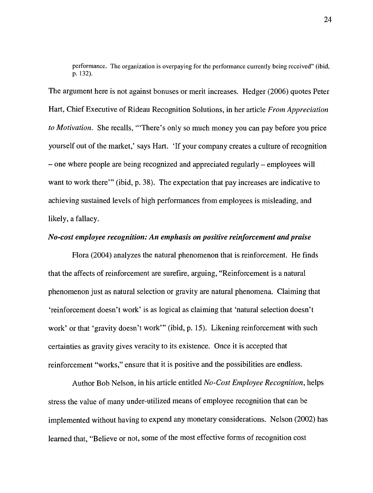performance. The organization is overpaying for the performance currently being received" (ibid, p. 132).

The argument here is not against bonuses or merit increases. Hedger (2006) quotes Peter Hart, Chief Executive of Rideau Recognition Solutions, in her article *From Appreciation to Motivation.* She recalls, "'There's only so much money you can pay before you price yourself out of the market,' says Hart. 'If your company creates a culture of recognition - one where people are being recognized and appreciated regularly - employees will want to work there" (ibid, p. 38). The expectation that pay increases are indicative to achieving sustained levels of high performances from employees is misleading, and likely, a fallacy.

# *No-cost employee recognition: An emphasis on positive reinforcement and praise*

Flora (2004) analyzes the natural phenomenon that is reinforcement. He finds that the affects of reinforcement are surefire, arguing, "Reinforcement is a natural phenomenon just as natural selection or gravity are natural phenomena. Claiming that 'reinforcement doesn't work' is as logical as claiming that 'natural selection doesn't work' or that 'gravity doesn't work"' (ibid, p. 15). Likening reinforcement with such certainties as gravity gives veracity to its existence. Once it is accepted that reinforcement "works," ensure that it is positive and the possibilities are endless.

Author Bob Nelson, in his article entitled *No-Cost Employee Recognition,* helps stress the value of many under-utilized means of employee recognition that can be implemented without having to expend any monetary considerations. Nelson (2002) has learned that, "Believe or not, some of the most effective forms of recognition cost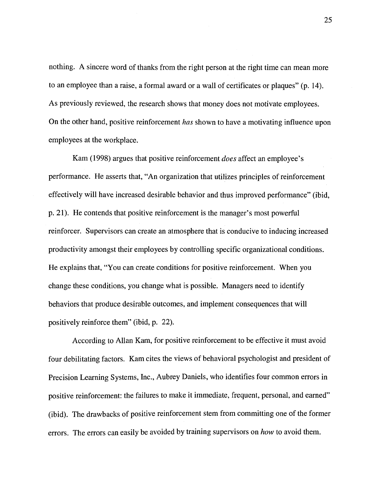nothing. A sincere word of thanks from the right person at the right time can mean more to an employee than a raise, a formal award or a wall of certificates or plaques" (p. 14). As previously reviewed, the research shows that money does not motivate employees. On the other hand, positive reinforcement *has* shown to have a motivating influence upon employees at the workplace.

Kam (1998) argues that positive reinforcement *does* affect an employee's performance. He asserts that, "An organization that utilizes principles of reinforcement effectively will have increased desirable behavior and thus improved performance" (ibid, p. 21). He contends that positive reinforcement is the manager's most powerful reinforcer. Supervisors can create an atmosphere that is conducive to inducing increased productivity amongst their employees by controlling specific organizational conditions. He explains that, "You can create conditions for positive reinforcement. When you change these conditions, you change what is possible. Managers need to identify behaviors that produce desirable outcomes, and implement consequences that will positively reinforce them" (ibid, p. 22).

According to Allan Kam, for positive reinforcement to be effective it must avoid four debilitating factors. Kam cites the views of behavioral psychologist and president of Precision Learning Systems, Inc., Aubrey Daniels, who identifies four common errors in positive reinforcement: the failures to make it immediate, frequent, personal, and earned" (ibid). The drawbacks of positive reinforcement stem from committing one of the former errors. The errors can easily be avoided by training supervisors on *how* to avoid them.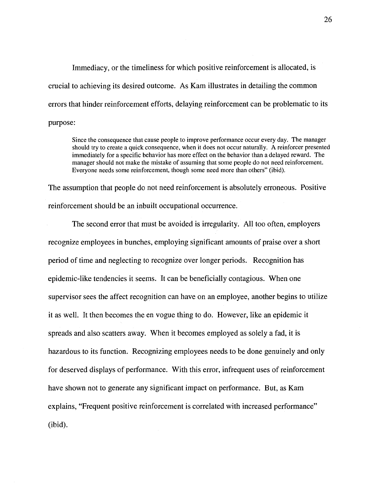Immediacy, or the timeliness for which positive reinforcement is allocated, is crucial to achieving its desired outcome. As Kam illustrates in detailing the common errors that hinder reinforcement efforts, delaying reinforcement can be problematic to its purpose:

Since the consequence that cause people to improve performance occur every day. The manager should try to create a quick consequence, when it does not occur naturally. A reinforcer presented immediately for a specific behavior has more effect on the behavior than a delayed reward. The manager should not make the mistake of assuming that some people do not need reinforcement. Everyone needs some reinforcement, though some need more than others" (ibid).

The assumption that people do not need reinforcement is absolutely erroneous. Positive reinforcement should be an inbuilt occupational occurrence.

The second error that must be avoided is irregularity. All too often, employers recognize employees in bunches, employing significant amounts of praise over a short period of time and neglecting to recognize over longer periods. Recognition has epidemic-like tendencies it seems. It can be beneficially contagious. When one supervisor sees the affect recognition can have on an employee, another begins to utilize it as well. It then becomes the en vogue thing to do. However, like an epidemic it spreads and also scatters away. When it becomes employed as solely a fad, it is hazardous to its function. Recognizing employees needs to be done genuinely and only for deserved displays of performance. With this error, infrequent uses of reinforcement have shown not to generate any significant impact on performance. But, as Kam explains, "Frequent positive reinforcement is correlated with increased performance" (ibid).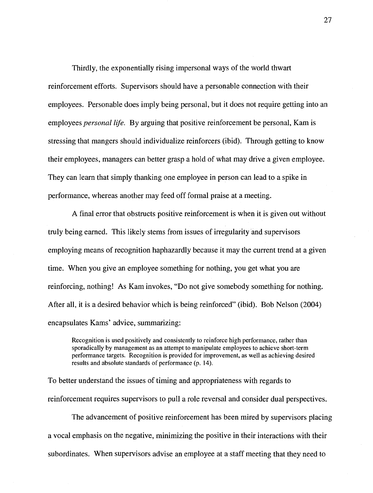Thirdly, the exponentially rising impersonal ways of the world thwart reinforcement efforts. Supervisors should have a personable connection with their employees. Personable does imply being personal, but it does not require getting into an employees *personal life.* By arguing that positive reinforcement be personal, Kam is stressing that mangers should individualize reinforcers (ibid). Through getting to know their employees, managers can better grasp a hold of what may drive a given employee. They can learn that simply thanking one employee in person can lead to a spike in performance, whereas another may feed off formal praise at a meeting.

A final error that obstructs positive reinforcement is when it is given out without truly being earned. This likely sterns from issues of irregularity and supervisors employing means of recognition haphazardly because it may the current trend at a given time. When you give an employee something for nothing, you get what you are reinforcing, nothing! As Kam invokes, "Do not give somebody something for nothing. After all, it is a desired behavior which is being reinforced" (ibid). Bob Nelson (2004) encapsulates Karns' advice, summarizing:

Recognition is used positively and consistently to reinforce high performance, rather than sporadically by management as an attempt to manipulate employees to achieve short-term performance targets. Recognition is provided for improvement, as well as achieving desired results and absolute standards of performance (p. 14 ).

To better understand the issues of timing and appropriateness with regards to reinforcement requires supervisors to pull a role reversal and consider dual perspectives.

The advancement of positive reinforcement has been mired by supervisors placing a vocal emphasis on the negative, minimizing the positive in their interactions with their subordinates. When supervisors advise an employee at a staff meeting that they need to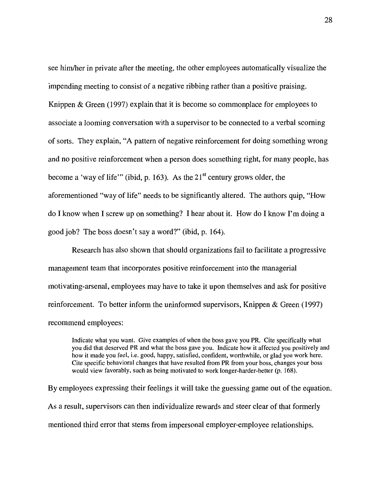see him/her in private after the meeting, the other employees automatically visualize the impending meeting to consist of a negative ribbing rather than a positive praising. Knippen & Green ( 1997) explain that it is become so commonplace for employees to associate a looming conversation with a supervisor to be connected to a verbal scorning of sorts. They explain, "A pattern of negative reinforcement for doing something wrong and no positive reinforcement when a person does something right, for many people, has become a 'way of life'" (ibid, p. 163). As the  $21<sup>st</sup>$  century grows older, the aforementioned "way of life" needs to be significantly altered. The authors quip, "How do I know when I screw up on something? I hear about it. How do I know I'm doing a good job? The boss doesn't say a word?" (ibid, p. 164).

Research has also shown that should organizations fail to facilitate a progressive management team that incorporates positive reinforcement into the managerial motivating-arsenal, employees may have to take it upon themselves and ask for positive reinforcement. To better inform the uninformed supervisors, Knippen & Green ( 1997) recommend employees:

Indicate what you want. Give examples of when the boss gave you PR. Cite specifically what you did that deserved PR and what the boss gave you. Indicate how it affected you positively and how it made you feel, i.e. good, happy, satisfied, confident, worthwhile, or glad you work here. Cite specific behavioral changes that have resulted from PR from your boss, changes your boss would view favorably, such as being motivated to work longer-harder-better (p. 168).

By employees expressing their feelings it will take the guessing game out of the equation. As a result, supervisors can then individualize rewards and steer clear of that formerly mentioned third error that stems from impersonal employer-employee relationships.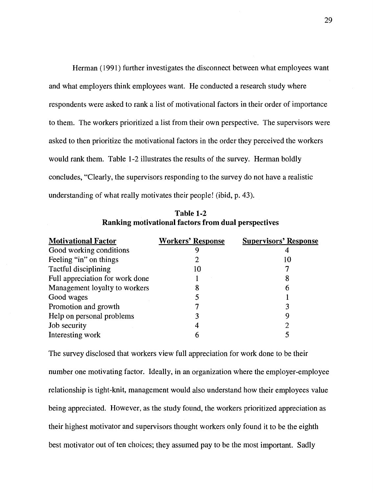Herman (1991) further investigates the disconnect between what employees want and what employers think employees want. He conducted a research study where respondents were asked to rank a list of motivational factors in their order of importance to them. The workers prioritized a list from their own perspective. The supervisors were asked to then prioritize the motivational factors in the order they perceived the workers would rank them. Table 1-2 illustrates the results of the survey. Herman boldly concludes, "Clearly, the supervisors responding to the survey do not have a realistic understanding of what really motivates their people! (ibid, p. 43).

| <b>Motivational Factor</b>      | <b>Workers' Response</b> | <b>Supervisors' Response</b> |
|---------------------------------|--------------------------|------------------------------|
| Good working conditions         |                          |                              |
| Feeling "in" on things          |                          | 10                           |
| <b>Tactful disciplining</b>     | Ю                        |                              |
| Full appreciation for work done |                          |                              |
| Management loyalty to workers   |                          | h                            |
| Good wages                      |                          |                              |
| Promotion and growth            |                          |                              |
| Help on personal problems       |                          |                              |
| Job security                    | 4                        |                              |
| Interesting work                | h                        |                              |

**Table 1-2 Ranking motivational factors from dual perspectives** 

The survey disclosed that workers view full appreciation for work done to be their number one motivating factor. Ideally, in an organization where the employer-employee relationship is tight-knit, management would also understand how their employees value being appreciated. However, as the study found, the workers prioritized appreciation as their highest motivator and supervisors thought workers only found it to be the eighth best motivator out of ten choices; they assumed pay to be the most important. Sadly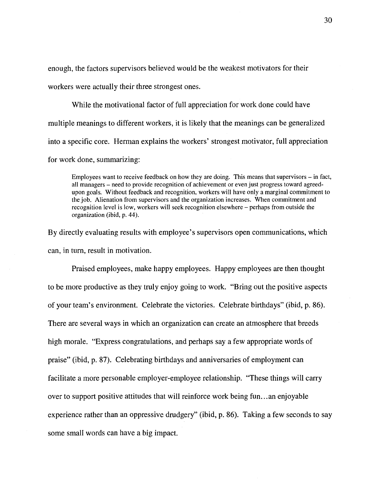enough, the factors supervisors believed would be the weakest motivators for their workers were actually their three strongest ones.

While the motivational factor of full appreciation for work done could have multiple meanings to different workers, it is likely that the meanings can be generalized into a specific core. Herman explains the workers' strongest motivator, full appreciation for work done, summarizing:

Employees want to receive feedback on how they are doing. This means that supervisors - in fact, all managers - need to provide recognition of achievement or even just progress toward agreedupon goals. Without feedback and recognition, workers will have only a marginal commitment to the job. Alienation from supervisors and the organization increases. When commitment and recognition level is low, workers will seek recognition elsewhere - perhaps from outside the organization (ibid, p. 44).

By directly evaluating results with employee's supervisors open communications, which can, in turn, result in motivation.

Praised employees, make happy employees. Happy employees are then thought to be more productive as they truly enjoy going to work. "Bring out the positive aspects of your team's environment. Celebrate the victories. Celebrate birthdays" (ibid, p. 86). There are several ways in which an organization can create an atmosphere that breeds high morale. "Express congratulations, and perhaps say a few appropriate words of praise" (ibid, p. 87). Celebrating birthdays and anniversaries of employment can facilitate a more personable employer-employee relationship. "These things will carry over to support positive attitudes that will reinforce work being fun...an enjoyable experience rather than an oppressive drudgery" (ibid, p. 86). Taking a few seconds to say some small words can have a big impact.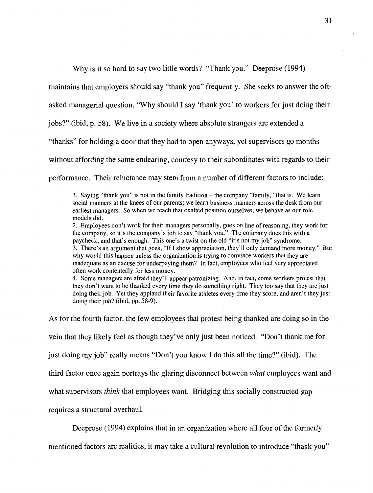Why is it so hard to say two little words? "Thank you." Deeprose (1994) maintains that employers should say "thank you" frequently. She seeks to answer the oftasked managerial question, "Why should I say 'thank you' to workers for just doing their jobs?" (ibid, p. 58). We live in a society where absolute strangers are extended a "thanks" for holding a door that they had to open anyways, yet supervisors go months without affording the same endearing, courtesy to their subordinates with regards to their performance. Their reluctance may stem from a number of different factors to include:

1. Saying "thank you" is not in the family tradition - the company "family," that is. We learn social manners at the knees of our parents; we learn business manners across the desk from our earliest managers. So when we reach that exalted position ourselves, we behave as our role models did.

2. Employees don't work for their managers personally, goes on line of reasoning, they work for the company, so it's the company's job to say "thank you." The company does this with a paycheck, and that's enough. This one's a twist on the old "it's not my job" syndrome. 3. There's an argument that goes, "lfl show appreciation, they'll only demand more money." But why would this happen unless the organization is trying to convince workers that they are inadequate as an excuse for underpaying them? In fact, employees who feel very appreciated often work contentedly for less money.

4. Some managers are afraid they'll appear patronizing. And, in fact, some workers protest that they don't want to be thanked every time they do something right. They too say that they are just doing their job. Yet they applaud their favorite athletes every time they score, and aren't they just doing their job? (ibid, pp. 58-9).

As for the fourth factor, the few employees that protest being thanked are doing so in the vein that they likely feel as though they've only just been noticed. "Don't thank me for just doing my job" really means "Don't you know I do this all the time?" (ibid). The third factor once again portrays the glaring disconnect between *what* employees want and what supervisors *think* that employees want. Bridging this socially constructed gap requires a structural overhaul.

Deeprose (1994) explains that in an organization where all four of the formerly

mentioned factors are realities, it may take a cultural revolution to introduce "thank you"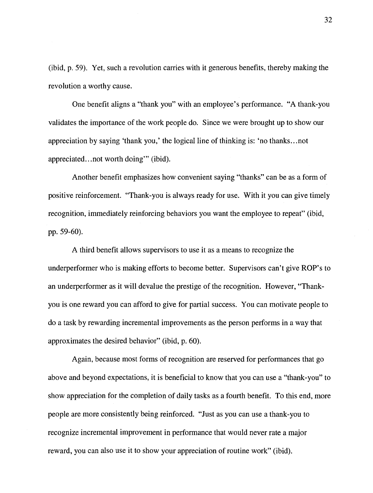(ibid, p. 59). Yet, such a revolution carries with it generous benefits, thereby making the revolution a worthy cause.

One benefit aligns a "thank you" with an employee's performance. "A thank-you validates the importance of the work people do. Since we were brought up to show our appreciation by saying 'thank you,' the logical line of thinking is: 'no thanks ... not appreciated... not worth doing" (ibid).

Another benefit emphasizes how convenient saying "thanks" can be as a form of positive reinforcement. "Thank-you is always ready for use. With it you can give timely recognition, immediately reinforcing behaviors you want the employee to repeat" (ibid, pp. 59-60).

A third benefit allows supervisors to use it as a means to recognize the underperformer who is making efforts to become better. Supervisors can't give ROP's to an underperformer as it will devalue the prestige of the recognition. However, "Thankyou is one reward you can afford to give for partial success. You can motivate people to do a task by rewarding incremental improvements as the person performs in a way that approximates the desired behavior" (ibid, p. 60).

Again, because most forms of recognition are reserved for performances that go above and beyond expectations, it is beneficial to know that you can use a "thank-you" to show appreciation for the completion of daily tasks as a fourth benefit. To this end, more people are more consistently being reinforced. "Just as you can use a thank-you to recognize incremental improvement in performance that would never rate a major reward, you can also use it to show your appreciation of routine work" (ibid).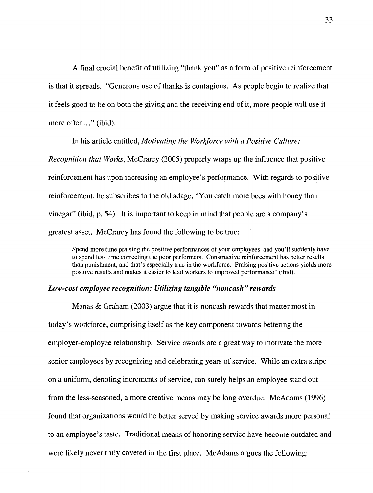A final crucial benefit of utilizing "thank you" as a form of positive reinforcement is that it spreads. "Generous use of thanks is contagious. As people begin to realize that it feels good to be on both the giving and the receiving end of it, more people will use it more often..." (ibid).

In his article entitled, *Motivating the Workforce with a Positive Culture: Recognition that Works, McCrarey (2005) properly wraps up the influence that positive* reinforcement has upon increasing an employee's performance. With regards to positive reinforcement, he subscribes to the old adage, "You catch more bees with honey than vinegar" (ibid, p. 54). It is important to keep in mind that people are a company's greatest asset. McCrarey has found the following to be true:

Spend more time praising the positive performances of your employees, and you'll suddenly have to spend less time correcting the poor performers. Constructive reinforcement has better results than punishment, and that's especially true in the workforce. Praising positive actions yields more positive results and makes it easier to lead workers to improved performance" (ibid).

#### *Low-cost employee recognition: Utilizing tangible "noncash" rewards*

Manas & Graham (2003) argue that it is noncash rewards that matter most in today's workforce, comprising itself as the key component towards bettering the employer-employee relationship. Service awards are a great way to motivate the more senior employees by recognizing and celebrating years of service. While an extra stripe on a uniform, denoting increments of service, can surely helps an employee stand out from the less-seasoned, a more creative means may be long overdue. McAdams (1996) found that organizations would be better served by making service awards more personal to an employee's taste. Traditional means of honoring service have become outdated and were likely never truly coveted in the first place. McAdams argues the following: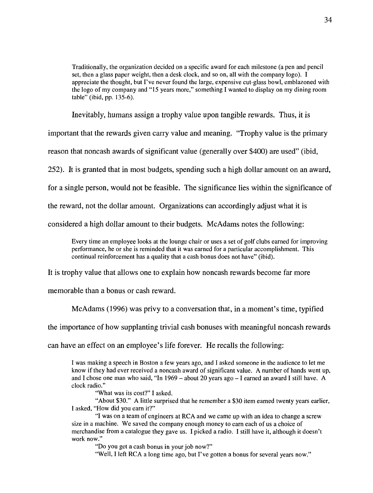Traditionally, the organization decided on a specific award for each milestone (a pen and pencil set, then a glass paper weight, then a desk clock, and so on, all with the company logo). I appreciate the thought, but I've never found the large, expensive cut-glass bowl, emblazoned with the logo of my company and "15 years more," something I wanted to display on my dining room table" (ibid, pp. 135-6).

Inevitably, humans assign a trophy value upon tangible rewards. Thus, it is

important that the rewards given carry value and meaning. "Trophy value is the primary

reason that noncash awards of significant value (generally over \$400) are used" (ibid,

252). It is granted that in most budgets, spending such a high dollar amount on an award,

for a single person, would not be feasible. The significance lies within the significance of

the reward, not the dollar amount. Organizations can accordingly adjust what it is

considered a high dollar amount to their budgets. McAdams notes the following:

Every time an employee looks at the lounge chair or uses a set of golf clubs earned for improving performance, he or she is reminded that it was earned for a particular accomplishment. This continual reinforcement has a quality that a cash bonus does not have" (ibid).

It is trophy value that allows one to explain how noncash rewards become far more

memorable than a bonus or cash reward.

McAdams (1996) was privy to a conversation that, in a moment's time, typified

the importance of how supplanting trivial cash bonuses with meaningful noncash rewards

can have an effect on an employee's life forever. He recalls the following:

I was making a speech in Boston a few years ago, and I asked someone in the audience to let me know if they had ever received a noncash award of significant value. A number of hands went up, and I chose one man who said, "In 1969 - about 20 years ago - I earned an award I still have. A clock radio."

"What was its cost?" I asked.

"About \$30." A little surprised that he remember a \$30 item earned twenty years earlier, I asked, "How did you earn it?"

"I was on a team of engineers at RCA and we came up with an idea to change a screw size in a machine. We saved the company enough money to earn each of us a choice of merchandise from a catalogue they gave us. I picked a radio. I still have it, although it doesn't work now."

"Do you get a cash bonus in your job now?"

"Well, I left RCA a long time ago, but I've gotten a bonus for several years now."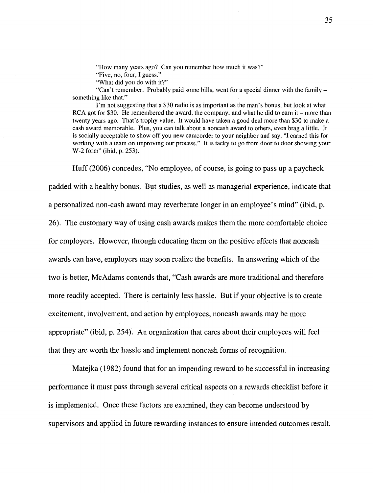"How many years ago? Can you remember how much it was?"

"Five, no, four, I guess."

"What did you do with it?"

"Can't remember. Probably paid some bills, went for a special dinner with the familysomething like that."

I'm not suggesting that a \$30 radio is as important as the man's bonus, but look at what RCA got for \$30. He remembered the award, the company, and what he did to earn it  $-$  more than twenty years ago. That's trophy value. It would have taken a good deal more than \$30 to make a cash award memorable. Plus, you can talk about a noncash award to others, even brag a little. It is socially acceptable to show off you new camcorder to your neighbor and say, "I earned this for working with a team on improving our process." It is tacky to go from door to door showing your W-2 form" (ibid, p. 253).

Huff (2006) concedes, "No employee, of course, is going to pass up a paycheck

padded with a healthy bonus. But studies, as well as managerial experience, indicate that

a personalized non-cash award may reverberate longer in an employee's mind" (ibid, p.

26). The customary way of using cash awards makes them the more comfortable choice for employers. However, through educating them on the positive effects that noncash awards can have, employers may soon realize the benefits. In answering which of the two is better, McAdams contends that, "Cash awards are more traditional and therefore more readily accepted. There is certainly less hassle. But if your objective is to create excitement, involvement, and action by employees, noncash awards may be more appropriate" (ibid, p. 254). An organization that cares about their employees will feel that they are worth the hassle and implement noncash forms of recognition.

Matejka (1982) found that for an impending reward to be successful in increasing performance it must pass through several critical aspects on a rewards checklist before it is implemented. Once these factors are examined, they can become understood by supervisors and applied in future rewarding instances to ensure intended outcomes result.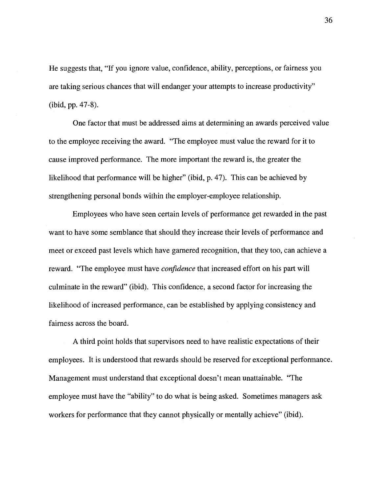He suggests that, "If you ignore value, confidence, ability, perceptions, or fairness you are taking serious chances that will endanger your attempts to increase productivity" (ibid, pp. 47-8).

One factor that must be addressed aims at determining an awards perceived value to the employee receiving the award. "The employee must value the reward for it to cause improved performance. The more important the reward is, the greater the likelihood that performance will be higher" (ibid, p. 47). This can be achieved by strengthening personal bonds within the employer-employee relationship.

Employees who have seen certain levels of performance get rewarded in the past want to have some semblance that should they increase their levels of performance and meet or exceed past levels which have garnered recognition, that they too, can achieve a reward. "The employee must have *confidence* that increased effort on his part will culminate in the reward" (ibid). This confidence, a second factor for increasing the likelihood of increased performance, can be established by applying consistency and fairness across the board.

A third point holds that supervisors need to have realistic expectations of their employees. It is understood that rewards should be reserved for exceptional performance. Management must understand that exceptional doesn't mean unattainable. "The employee must have the "ability" to do what is being asked. Sometimes managers ask workers for performance that they cannot physically or mentally achieve" (ibid).

36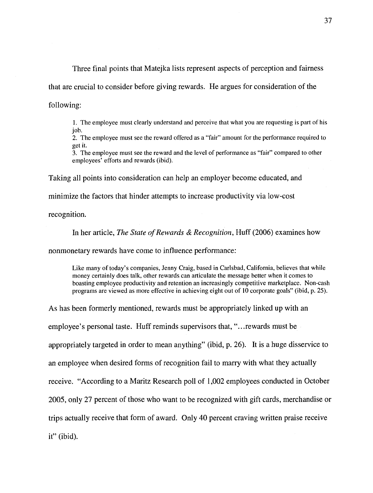Three final points that Matejka lists represent aspects of perception and fairness that are crucial to consider before giving rewards. He argues for consideration of the following:

1. The employee must clearly understand and perceive that what you are requesting is part of his job.

2. The employee must see the reward offered as a "fair" amount for the performance required to get it.

3. The employee must see the reward and the level of performance as "fair" compared to other employees' efforts and rewards (ibid).

Taking all points into consideration can help an employer become educated, and

minimize the factors that hinder attempts to increase productivity via low-cost

recognition.

In her article, *The State of Rewards* & *Recognition,* Huff (2006) examines how

nonmonetary rewards have come to influence performance:

Like many of today's companies, Jenny Craig, based in Carlsbad, California, believes that while money certainly does talk, other rewards can articulate the message better when it comes to boasting employee productivity and retention an increasingly competitive marketplace. Non-cash programs are viewed as more effective in achieving eight out of 10 corporate goals" (ibid, p. 25).

As has been formerly mentioned, rewards must be appropriately linked up with an

employee's personal taste. Huff reminds supervisors that, "... rewards must be

appropriately targeted in order to mean anything" (ibid, p. 26). It is a huge disservice to

an employee when desired forms of recognition fail to marry with what they actually

receive. "According to a Maritz Research poll of 1,002 employees conducted in October

2005, only 27 percent of those who want to be recognized with gift cards, merchandise or

trips actually receive that form of award. Only 40 percent craving written praise receive

it" (ibid).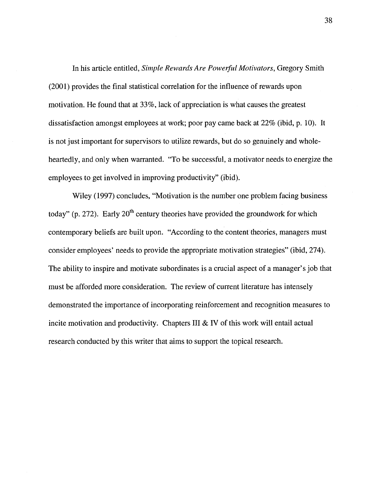In his article entitled, *Simple Rewards Are Powerful Motivators*, Gregory Smith (2001) provides the final statistical correlation for the influence of rewards upon motivation. He found that at 33%, lack of appreciation is what causes the greatest dissatisfaction amongst employees at work; poor pay came back at 22% (ibid, p. 10). It is not just important for supervisors to utilize rewards, but do so genuinely and wholeheartedly, and only when warranted. "To be successful, a motivator needs to energize the employees to get involved in improving productivity" (ibid).

Wiley (1997) concludes, "Motivation is the number one problem facing business today" (p. 272). Early  $20<sup>th</sup>$  century theories have provided the groundwork for which contemporary beliefs are built upon. "According to the content theories, managers must consider employees' needs to provide the appropriate motivation strategies" (ibid, 274). The ability to inspire and motivate subordinates is a crucial aspect of a manager's job that must be afforded more consideration. The review of current literature has intensely demonstrated the importance of incorporating reinforcement and recognition measures to incite motivation and productivity. Chapters III  $&$  IV of this work will entail actual research conducted by this writer that aims to support the topical research.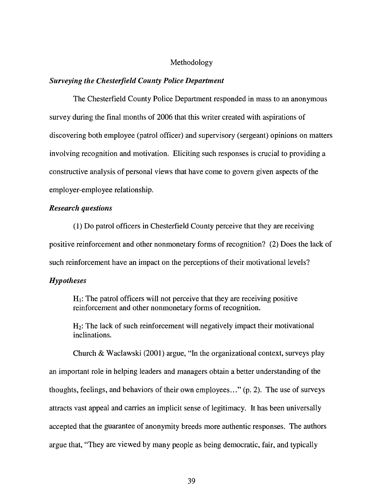### Methodology

#### *Surveying the Chesterfield County Police Department*

The Chesterfield County Police Department responded in mass to an anonymous survey during the final months of 2006 that this writer created with aspirations of discovering both employee (patrol officer) and supervisory (sergeant) opinions on matters involving recognition and motivation. Eliciting such responses is crucial to providing a constructive analysis of personal views that have come to govern given aspects of the employer-employee relationship.

### *Research questions*

(1) Do patrol officers in Chesterfield County perceive that they are receiving positive reinforcement and other nonmonetary forms of recognition? (2) Does the lack of such reinforcement have an impact on the perceptions of their motivational levels?

## *Hypotheses*

 $H<sub>1</sub>$ : The patrol officers will not perceive that they are receiving positive reinforcement and other nonmonetary forms of recognition.

H2: The lack of such reinforcement will negatively impact their motivational inclinations.

Church & Waclawski (2001) argue, "In the organizational context, surveys play an important role in helping leaders and managers obtain a better understanding of the thoughts, feelings, and behaviors of their own employees ... " (p. 2). The use of surveys attracts vast appeal and carries an implicit sense of legitimacy. It has been universally accepted that the guarantee of anonymity breeds more authentic responses. The authors argue that, "They are viewed by many people as being democratic, fair, and typically

39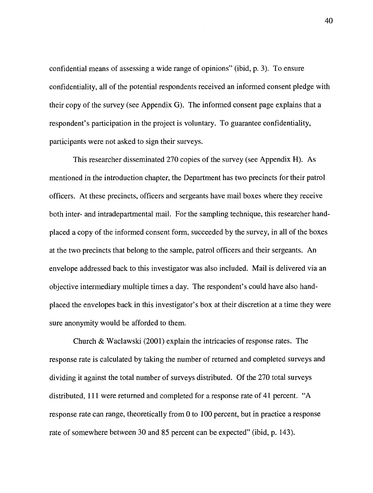confidential means of assessing a wide range of opinions" (ibid, p. 3). To ensure confidentiality, all of the potential respondents received an informed consent pledge with their copy of the survey (see Appendix G). The informed consent page explains that a respondent's participation in the project is voluntary. To guarantee confidentiality, participants were not asked to sign their surveys.

This researcher disseminated 270 copies of the survey (see Appendix H). As mentioned in the introduction chapter, the Department has two precincts for their patrol officers. At these precincts, officers and sergeants have mail boxes where they receive both inter- and intradepartmental mail. For the sampling technique, this researcher handplaced a copy of the informed consent form, succeeded by the survey, in all of the boxes at the two precincts that belong to the sample, patrol officers and their sergeants. An envelope addressed back to this investigator was also included. Mail is delivered via an objective intermediary multiple times a day. The respondent's could have also handplaced the envelopes back in this investigator's box at their discretion at a time they were sure anonymity would be afforded to them.

Church & Waclawski (2001) explain the intricacies of response rates. The response rate is calculated by taking the number of returned and completed surveys and dividing it against the total number of surveys distributed. Of the 270 total surveys distributed, 111 were returned and completed for a response rate of 41 percent. "A response rate can range, theoretically from 0 to 100 percent, but in practice a response rate of somewhere between 30 and 85 percent can be expected" (ibid, p. 143).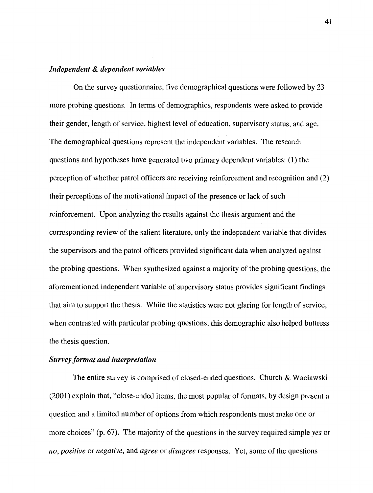### *Independent* & *dependent variables*

On the survey questionnaire, five demographical questions were followed by 23 more probing questions. In terms of demographics, respondents were asked to provide their gender, length of service, highest level of education, supervisory status, and age. The demographical questions represent the independent variables. The research questions and hypotheses have generated two primary dependent variables: (1) the perception of whether patrol officers are receiving reinforcement and recognition and (2) their perceptions of the motivational impact of the presence or lack of such reinforcement. Upon analyzing the results against the thesis argument and the corresponding review of the salient literature, only the independent variable that divides the supervisors and the patrol officers provided significant data when analyzed against the probing questions. When synthesized against a majority of the probing questions, the aforementioned independent variable of supervisory status provides significant findings that aim to support the thesis. While the statistics were not glaring for length of service, when contrasted with particular probing questions, this demographic also helped buttress the thesis question.

#### *Survey format and interpretation*

The entire survey is comprised of closed-ended questions. Church & Waclawski (2001) explain that, "close-ended items, the most popular of formats, by design present a question and a limited number of options from which respondents must make one or more choices" (p. 67). The majority of the questions in the survey required simple *yes* or *no, positive* or *negative,* and *agree* or *disagree* responses. Yet, some of the questions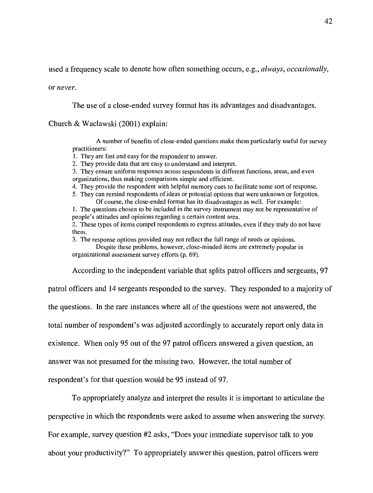used a frequency scale to denote how often something occurs, e.g., *always, occasionally,* 

or *never.* 

The use of a close-ended survey format has its advantages and disadvantages.

Church & Waclawski (2001) explain:

A number of benefits of close-ended questions make them particularly useful for survey practitioners:

I. They are fast and easy for the respondent to answer.

2. They provide data that are easy to understand and interpret.

3. They ensure uniform responses across respondents in different functions, areas, and even organizations, thus making comparisons simple and efficient.

4. They provide the respondent with helpful memory cues to facilitate some sort of response.

5. They can remind respondents of ideas or potential options that were unknown or forgotten. Of course, the close-ended format has its disadvantages as well. For example:

1. The questions chosen to be included in the survey instrument may not be representative of people's attitudes and opinions regarding a certain content area.

2. These types of items compel respondents to express attitudes, even if they truly do not have them.

3. The response options provided may not reflect the full range of needs or opinions.

Despite these problems, however, close-minded items are extremely popular in organizational assessment survey efforts (p. 69).

According to the independent variable that splits patrol officers and sergeants, 97

patrol officers and 14 sergeants responded to the survey. They responded to a majority of the questions. In the rare instances where all of the questions were not answered, the total number of respondent's was adjusted accordingly to accurately report only data in existence. When only 95 out of the 97 patrol officers answered a given question, an answer was not presumed for the missing two. However, the total number of respondent's for that question would be 95 instead of 97.

To appropriately analyze and interpret the results it is important to articulate the perspective in which the respondents were asked to assume when answering the survey. For example, survey question #2 asks, "Does your immediate supervisor talk to you about your productivity?" To appropriately answer this question, patrol officers were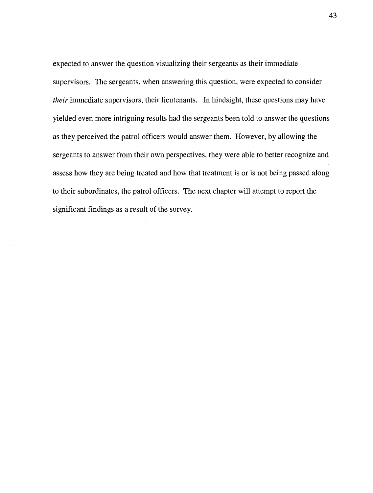expected to answer the question visualizing their sergeants as their immediate supervisors. The sergeants, when answering this question, were expected to consider *their* immediate supervisors, their lieutenants. In hindsight, these questions may have yielded even more intriguing results had the sergeants been told to answer the questions as they perceived the patrol officers would answer them. However, by allowing the sergeants to answer from their own perspectives, they were able to better recognize and assess how they are being treated and how that treatment is or is not being passed along to their subordinates, the patrol officers. The next chapter will attempt to report the significant findings as a result of the survey.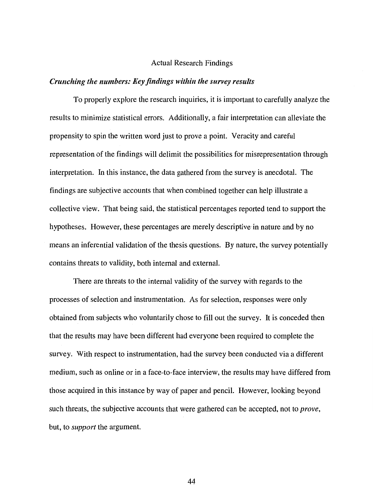#### Actual Research Findings

#### *Crunching the numbers: Key findings within the survey results*

To properly explore the research inquiries, it is important to carefully analyze the results to minimize statistical errors. Additionally, a fair interpretation can alleviate the propensity to spin the written word just to prove a point. Veracity and careful representation of the findings will delimit the possibilities for misrepresentation through interpretation. In this instance, the data gathered from the survey is anecdotal. The findings are subjective accounts that when combined together can help illustrate a collective view. That being said, the statistical percentages reported tend to support the hypotheses. However, these percentages are merely descriptive in nature and by no means an inferential validation of the thesis questions. By nature, the survey potentially contains threats to validity, both internal and external.

There are threats to the internal validity of the survey with regards to the processes of selection and instrumentation. As for selection, responses were only obtained from subjects who voluntarily chose to fill out the survey. It is conceded then that the results may have been different had everyone been required to complete the survey. With respect to instrumentation, had the survey been conducted via a different medium, such as online or in a face-to-face interview, the results may have differed from those acquired in this instance by way of paper and pencil. However, looking beyond such threats, the subjective accounts that were gathered can be accepted, not to *prove,*  but, to *support* the argument.

44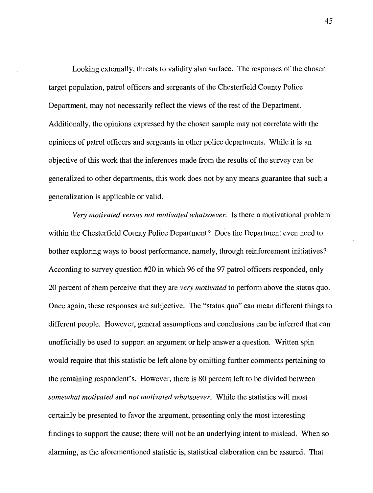Looking externally, threats to validity also surface. The responses of the chosen target population, patrol officers and sergeants of the Chesterfield County Police Department, may not necessarily reflect the views of the rest of the Department. Additionally, the opinions expressed by the chosen sample may not correlate with the opinions of patrol officers and sergeants in other police departments. While it is an objective of this work that the inferences made from the results of the survey can be generalized to other departments, this work does not by any means guarantee that such a generalization is applicable or valid.

*Very motivated versus not motivated whatsoever.* Is there a motivational problem within the Chesterfield County Police Department? Does the Department even need to bother exploring ways to boost performance, namely, through reinforcement initiatives? According to survey question #20 in which 96 of the 97 patrol officers responded, only 20 percent of them perceive that they are *very motivated* to perform above the status quo. Once again, these responses are subjective. The "status quo" can mean different things to different people. However, general assumptions and conclusions can be inferred that can unofficially be used to support an argument or help answer a question. Written spin would require that this statistic be left alone by omitting further comments pertaining to the remaining respondent's. However, there is 80 percent left to be divided between *somewhat motivated* and *not motivated whatsoever.* While the statistics will most certainly be presented to favor the argument, presenting only the most interesting findings to support the cause; there will not be an underlying intent to mislead. When so alarming, as the aforementioned statistic is, statistical elaboration can be assured. That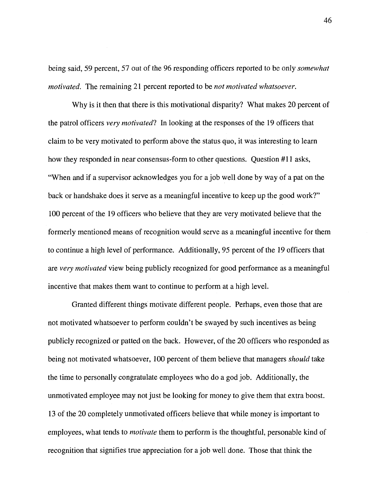being said, 59 percent, 57 out of the 96 responding officers reported to be only *somewhat motivated.* The remaining 21 percent reported to be *not motivated whatsoever.* 

Why is it then that there is this motivational disparity? What makes 20 percent of the patrol officers *very motivated?* In looking at the responses of the 19 officers that claim to be very motivated to perform above the status quo, it was interesting to learn how they responded in near consensus-form to other questions. Question #11 asks, "When and if a supervisor acknowledges you for a job well done by way of a pat on the back or handshake does it serve as a meaningful incentive to keep up the good work?" 100 percent of the 19 officers who believe that they are very motivated believe that the formerly mentioned means of recognition would serve as a meaningful incentive for them to continue a high level of performance. Additionally, 95 percent of the 19 officers that are *very motivated* view being publicly recognized for good performance as a meaningful incentive that makes them want to continue to perform at a high level.

Granted different things motivate different people. Perhaps, even those that are not motivated whatsoever to perform couldn't be swayed by such incentives as being publicly recognized or patted on the back. However, of the 20 officers who responded as being not motivated whatsoever, 100 percent of them believe that managers *should* take the time to personally congratulate employees who do a god job. Additionally, the unmotivated employee may not just be looking for money to give them that extra boost. 13 of the 20 completely unmotivated officers believe that while money is important to employees, what tends to *motivate* them to perform is the thoughtful, personable kind of recognition that signifies true appreciation for a job well done. Those that think the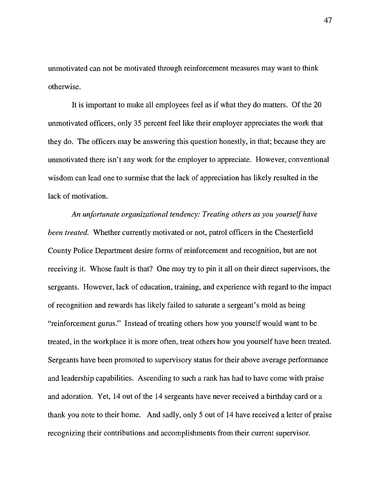unmotivated can not be motivated through reinforcement measures may want to think otherwise.

It is important to make all employees feel as if what they do matters. Of the 20 unmotivated officers, only 35 percent feel like their employer appreciates the work that they do. The officers may be answering this question honestly, in that; because they are unmotivated there isn't any work for the employer to appreciate. However, conventional wisdom can lead one to surmise that the lack of appreciation has likely resulted in the lack of motivation.

*An unfortunate organizational tendency: Treating others as you yourself have been treated.* Whether currently motivated or not, patrol officers in the Chesterfield County Police Department desire forms of reinforcement and recognition, but are not receiving it. Whose fault is that? One may try to pin it all on their direct supervisors, the sergeants. However, lack of education, training, and experience with regard to the impact of recognition and rewards has likely failed to saturate a sergeant's mold as being "reinforcement gurus." Instead of treating others how you yourself would want to be treated, in the workplace it is more often, treat others how you yourself have been treated. Sergeants have been promoted to supervisory status for their above average performance and leadership capabilities. Ascending to such a rank has had to have come with praise and adoration. Yet, 14 out of the 14 sergeants have never received a birthday card or a thank you note to their home. And sadly, only 5 out of 14 have received a letter of praise recognizing their contributions and accomplishments from their current supervisor.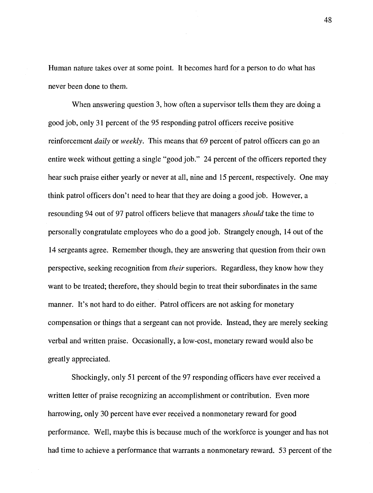Human nature takes over at some point. It becomes hard for a person to do what has never been done to them.

When answering question 3, how often a supervisor tells them they are doing a good job, only 31 percent of the 95 responding patrol officers receive positive reinforcement *daily* or *weekly.* This means that 69 percent of patrol officers can go an entire week without getting a single "good job." 24 percent of the officers reported they hear such praise either yearly or never at all, nine and 15 percent, respectively. One may think patrol officers don't need to hear that they are doing a good job. However, a resounding 94 out of 97 patrol officers believe that managers *should* take the time to personally congratulate employees who do a good job. Strangely enough, 14 out of the 14 sergeants agree. Remember though, they are answering that question from their own perspective, seeking recognition from *their* superiors. Regardless, they know how they want to be treated; therefore, they should begin to treat their subordinates in the same manner. It's not hard to do either. Patrol officers are not asking for monetary compensation or things that a sergeant can not provide. Instead, they are merely seeking verbal and written praise. Occasionally, a low-cost, monetary reward would also be greatly appreciated.

Shockingly, only 51 percent of the 97 responding officers have ever received a written letter of praise recognizing an accomplishment or contribution. Even more harrowing, only 30 percent have ever received a nonmonetary reward for good performance. Well, maybe this is because much of the workforce is younger and has not had time to achieve a performance that warrants a nonmonetary reward. 53 percent of the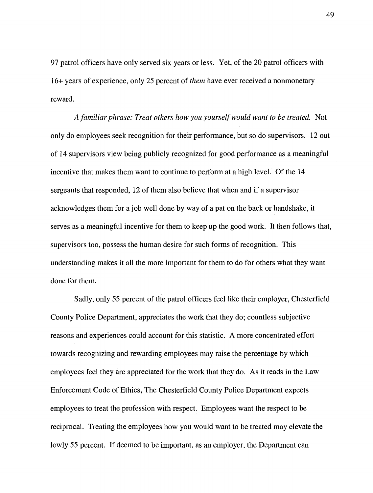97 patrol officers have only served six years or less. Yet, of the 20 patrol officers with 16+ years of experience, only 25 percent of *them* have ever received a nonmonetary reward.

*A familiar phrase: Treat others how you yourself would want to be treated.* Not only do employees seek recognition for their performance, but so do supervisors. 12 out of 14 supervisors view being publicly recognized for good performance as a meaningful incentive that makes them want to continue to perform at a high level. Of the 14 sergeants that responded, 12 of them also believe that when and if a supervisor acknowledges them for a job well done by way of a pat on the back or handshake, it serves as a meaningful incentive for them to keep up the good work. It then follows that, supervisors too, possess the human desire for such forms of recognition. This understanding makes it all the more important for them to do for others what they want done for them.

Sadly, only 55 percent of the patrol officers feel like their employer, Chesterfield County Police Department, appreciates the work that they do; countless subjective reasons and experiences could account for this statistic. A more concentrated effort towards recognizing and rewarding employees may raise the percentage by which employees feel they are appreciated for the work that they do. As it reads in the Law Enforcement Code of Ethics, The Chesterfield County Police Department expects employees to treat the profession with respect. Employees want the respect to be reciprocal. Treating the employees how you would want to be treated may elevate the lowly 55 percent. If deemed to be important, as an employer, the Department can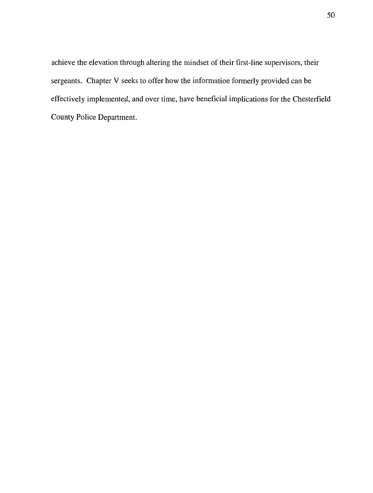achieve the elevation through altering the mindset of their first-line supervisors, their sergeants. Chapter V seeks to offer how the information formerly provided can be effectively implemented, and over time, have beneficial implications for the Chesterfield County Police Department.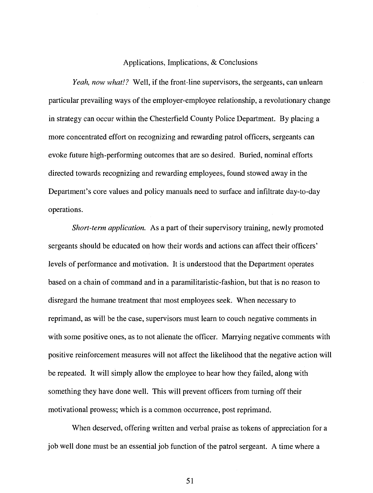### Applications, Implications, & Conclusions

*Yeah, now what!?* Well, if the front-line supervisors, the sergeants, can unlearn particular prevailing ways of the employer-employee relationship, a revolutionary change in strategy can occur within the Chesterfield County Police Department. By placing a more concentrated effort on recognizing and rewarding patrol officers, sergeants can evoke future high-performing outcomes that are so desired. Buried, nominal efforts directed towards recognizing and rewarding employees, found stowed away in the Department's core values and policy manuals need to surface and infiltrate day-to-day operations.

*Short-term application.* As a part of their supervisory training, newly promoted sergeants should be educated on how their words and actions can affect their officers' levels of performance and motivation. It is understood that the Department operates based on a chain of command and in a paramilitaristic-fashion, but that is no reason to disregard the humane treatment that most employees seek. When necessary to reprimand, as will be the case, supervisors must learn to couch negative comments in with some positive ones, as to not alienate the officer. Marrying negative comments with positive reinforcement measures will not affect the likelihood that the negative action will be repeated. It will simply allow the employee to hear how they failed, along with something they have done well. This will prevent officers from turning off their motivational prowess; which is a common occurrence, post reprimand.

When deserved, offering written and verbal praise as tokens of appreciation for a job well done must be an essential job function of the patrol sergeant. A time where a

51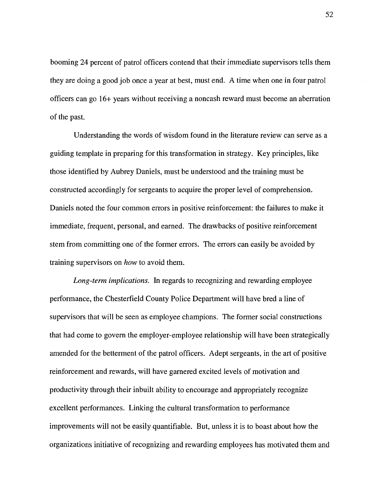booming 24 percent of patrol officers contend that their immediate supervisors tells them they are doing a good job once a year at best, must end. A time when one in four patrol officers can go 16+ years without receiving a noncash reward must become an aberration of the past.

Understanding the words of wisdom found in the literature review can serve as a guiding template in preparing for this transformation in strategy. Key principles, like those identified by Aubrey Daniels, must be understood and the training must be constructed accordingly for sergeants to acquire the proper level of comprehension. Daniels noted the four common errors in positive reinforcement: the failures to make it immediate, frequent, personal, and earned. The drawbacks of positive reinforcement stern from committing one of the former errors. The errors can easily be avoided by training supervisors on *how* to avoid them.

*Long-term implications.* In regards to recognizing and rewarding employee performance, the Chesterfield County Police Department will have bred a line of supervisors that wiII be seen as employee champions. The former social constructions that had come to govern the employer-employee relationship will have been strategically amended for the betterment of the patrol officers. Adept sergeants, in the art of positive reinforcement and rewards, will have garnered excited levels of motivation and productivity through their inbuilt ability to encourage and appropriately recognize excellent performances. Linking the cultural transformation to performance improvements will not be easily quantifiable. But, unless it is to boast about how the organizations initiative of recognizing and rewarding employees has motivated them and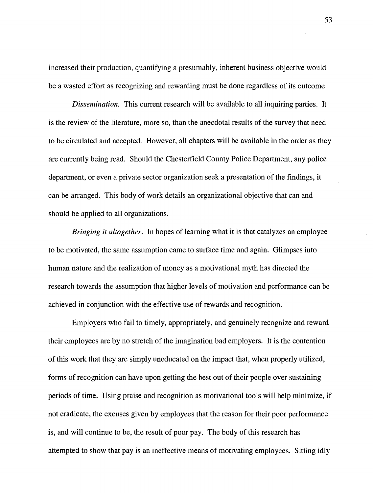increased their production, quantifying a presumably, inherent business objective would be a wasted effort as recognizing and rewarding must be done regardless of its outcome

*Dissemination.* This current research will be available to all inquiring parties. It is the review of the literature, more so, than the anecdotal results of the survey that need to be circulated and accepted. However, all chapters will be available in the order as they are currently being read. Should the Chesterfield County Police Department, any police department, or even a private sector organization seek a presentation of the findings, it can be arranged. This body of work details an organizational objective that can and should be applied to all organizations.

*Bringing it altogether.* In hopes of learning what it is that catalyzes an employee to be motivated, the same assumption came to surface time and again. Glimpses into human nature and the realization of money as a motivational myth has directed the research towards the assumption that higher levels of motivation and performance can be achieved in conjunction with the effective use of rewards and recognition.

Employers who fail to timely, appropriately, and genuinely recognize and reward their employees are by no stretch of the imagination bad employers. It is the contention of this work that they are simply uneducated on the impact that, when properly utilized, forms of recognition can have upon getting the best out of their people over sustaining periods of time. Using praise and recognition as motivational tools will help minimize, if not eradicate, the excuses given by employees that the reason for their poor performance is, and will continue to be, the result of poor pay. The body of this research has attempted to show that pay is an ineffective means of motivating employees. Sitting idly

53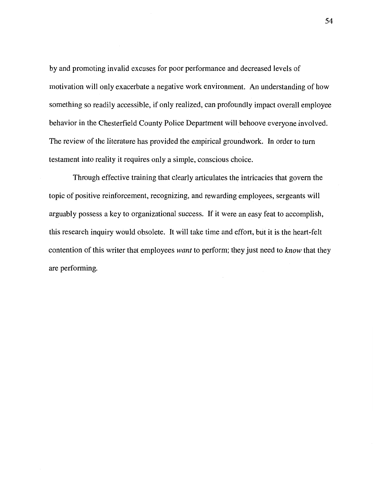by and promoting invalid excuses for poor performance and decreased levels of motivation will only exacerbate a negative work environment. An understanding of how something so readily accessible, if only realized, can profoundly impact overall employee behavior in the Chesterfield County Police Department will behoove everyone involved. The review of the literature has provided the empirical groundwork. In order to turn testament into reality it requires only a simple, conscious choice.

Through effective training that clearly articulates the intricacies that govern the topic of positive reinforcement, recognizing, and rewarding employees, sergeants will arguably possess a key to organizational success. If it were an easy feat to accomplish, this research inquiry would obsolete. It will take time and effort, but it is the heart-felt contention of this writer that employees *want* to perform; they just need to *know* that they are performing.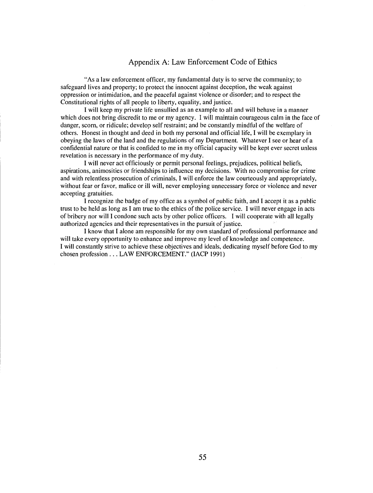### Appendix A: Law Enforcement Code of Ethics

"As a law enforcement officer, my fundamental duty is to serve the community; to safeguard lives and property; to protect the innocent against deception, the weak against oppression or intimidation, and the peaceful against violence or disorder; and to respect the Constitutional rights of all people to liberty, equality, and justice.

I will keep my private life unsullied as an example to all and will behave in a manner which does not bring discredit to me or my agency. I will maintain courageous calm in the face of danger, scorn, or ridicule; develop self restraint; and be constantly mindful of the welfare of others. Honest in thought and deed in both my personal and official life, I will be exemplary in obeying the laws of the land and the regulations of my Department. Whatever I see or hear of a confidential nature or that is confided to me in my official capacity will be kept ever secret unless revelation is necessary in the performance of my duty.

I will never act officiously or permit personal feelings, prejudices, political beliefs, aspirations, animosities or friendships to influence my decisions. With no compromise for crime and with relentless prosecution of criminals, I will enforce the law courteously and appropriately, without fear or favor, malice or ill will, never employing unnecessary force or violence and never accepting gratuities.

I recognize the badge of my office as a symbol of public faith, and I accept it as a public trust to be held as long as I am true to the ethics of the police service. I will never engage in acts of bribery nor will I condone such acts by other police officers. I will cooperate with all legally authorized agencies and their representatives in the pursuit of justice.

I know that I alone am responsible for my own standard of professional performance and will take every opportunity to enhance and improve my level of knowledge and competence. I will constantly strive to achieve these objectives and ideals, dedicating myself before God to my chosen profession ... LAW ENFORCEMENT." (IACP 1991)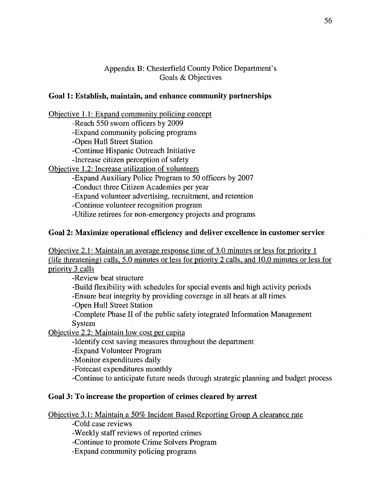## Appendix B: Chesterfield County Police Department's Goals & Objectives

### Goal 1: Establish, maintain, and enhance community partnerships

#### Objective 1.1: Expand community policing concept

-Reach 550 sworn officers by 2009

-Expand community policing programs

-Open Hull Street Station

-Continue Hispanic Outreach Initiative

-Increase citizen perception of safety

Objective 1.2: Increase utilization of volunteers

-Expand Auxiliary Police Program to 50 officers by 2007

-Conduct three Citizen Academies per year

-Expand volunteer advertising, recruitment, and retention

-Continue volunteer recognition program

-Utilize retirees for non-emergency projects and programs

### Goal 2: Maximize operational efficiency and deliver excellence in customer service

Objective 2.1: Maintain an average response time of 3.0 minutes or less for priority 1 (life threatening) calls, 5.0 minutes or less for priority 2 calls, and 10.0 minutes or less for priority 3 calls

-Review beat structure

-Build flexibility with schedules for special events and high activity periods

-Ensure beat integrity by providing coverage in all beats at all times

-Open Hull Street Station

-Complete Phase II of the public safety integrated Information Management System

Objective 2.2: Maintain low cost per capita

-Identify cost saving measures throughout the department

-Expand Volunteer Program

-Monitor expenditures daily

-Forecast expenditures monthly

-Continue to anticipate future needs through strategic planning and budget process

#### Goal 3: To increase the proportion of crimes cleared by arrest

Objective 3.1: Maintain a 50% Incident Based Reporting Group A clearance rate

-Cold case reviews

-Weekly staff reviews of reported crimes

-Continue to promote Crime Solvers Program

-Expand community policing programs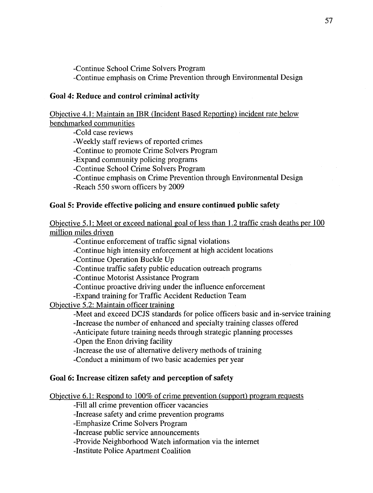-Continue School Crime Solvers Program

-Continue emphasis on Crime Prevention through Environmental Design

# Goal 4: Reduce and control criminal activity

Objective 4.1: Maintain an IBR (Incident Based Reporting) incident rate below benchmarked communities

-Cold case reviews

-Weekly staff reviews of reported crimes

-Continue to promote Crime Solvers Program

-Expand community policing programs

-Continue School Crime Solvers Program

-Continue emphasis on Crime Prevention through Environmental Design

-Reach 550 sworn officers by 2009

# Goal 5: Provide effective policing and ensure continued public safety

Objective 5.1: Meet or exceed national goal of less than 1.2 traffic crash deaths per 100 million miles driven

-Continue enforcement of traffic signal violations

-Continue high intensity enforcement at high accident locations

-Continue Operation Buckle Up

-Continue traffic safety public education outreach programs

-Continue Motorist Assistance Program

-Continue proactive driving under the influence enforcement

-Expand training for Traffic Accident Reduction Team

Objective 5.2: Maintain officer training

-Meet and exceed DCJS standards for police officers basic and in-service training

-Increase the number of enhanced and specialty training classes offered

-Anticipate future training needs through strategic planning processes

-Open the Enon driving facility

-Increase the use of alternative delivery methods of training

-Conduct a minimum of two basic academies per year

# Goal 6: Increase citizen safety and perception of safety

Objective 6.1: Respond to 100% of crime prevention (support) program requests

-Fill all crime prevention officer vacancies

-Increase safety and crime prevention programs

-Emphasize Crime Solvers Program

-Increase public service announcements

-Provide Neighborhood Watch information via the internet

-Institute Police Apartment Coalition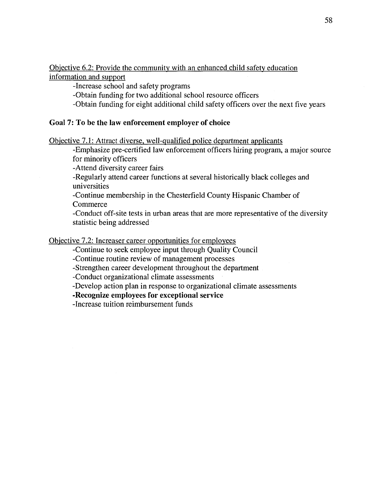Objective 6.2: Provide the community with an enhanced child safety education information and support

-Increase school and safety programs

-Obtain funding for two additional school resource officers

-Obtain funding for eight additional child safety officers over the next five years

## Goal 7: To be the law enforcement employer of choice

Objective 7.1: Attract diverse, well-qualified police department applicants

-Emphasize pre-certified law enforcement officers hiring program, a major source for minority officers

-Attend diversity career fairs

-Regularly attend career functions at several historically black colleges and universities

-Continue membership in the Chesterfield County Hispanic Chamber of **Commerce** 

-Conduct off-site tests in urban areas that are more representative of the diversity statistic being addressed

Objective 7.2: Increaser career opportunities for employees

-Continue to seek employee input through Quality Council

-Continue routine review of management processes

-Strengthen career development throughout the department

-Conduct organizational climate assessments

-Develop action plan in response to organizational climate assessments

-Recognize employees for exceptional service

-Increase tuition reimbursement funds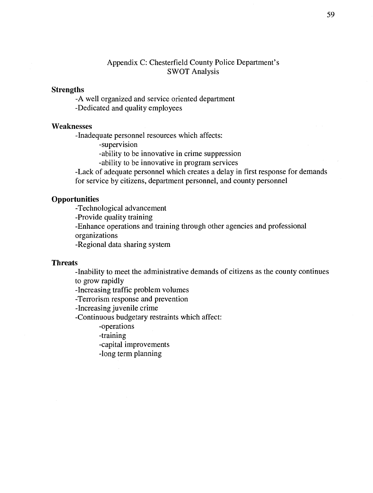## Appendix C: Chesterfield County Police Department's SWOT Analysis

### **Strengths**

-A well organized and service oriented department -Dedicated and quality employees

## **Weaknesses**

-Inadequate personnel resources which affects:

-supervision

-ability to be innovative in crime suppression

-ability to be innovative in program services

-Lack of adequate personnel which creates a delay in first response for demands for service by citizens, department personnel, and county personnel

### **Opportunities**

-Technological advancement

-Provide quality training

-Enhance operations and training through other agencies and professional

organizations

-Regional data sharing system

#### **Threats**

-Inability to meet the administrative demands of citizens as the county continues to grow rapidly

-Increasing traffic problem volumes

-Terrorism response and prevention

-Increasing juvenile crime

-Continuous budgetary restraints which affect:

-operations

-training

-capital improvements

-long term planning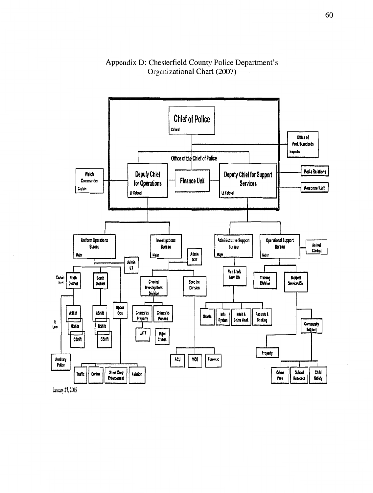

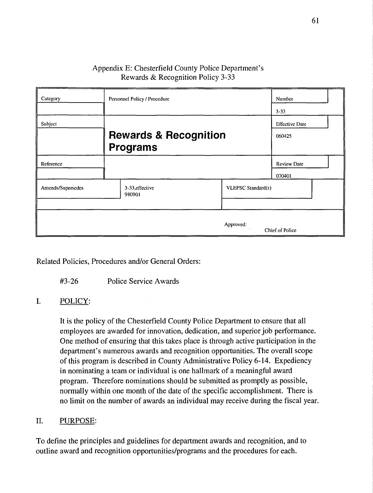# Appendix E: Chesterfield County Police Department's Rewards & Recognition Policy 3-33

| Category          | Personnel Policy / Procedure                        |                    | Number                                      |
|-------------------|-----------------------------------------------------|--------------------|---------------------------------------------|
| Subject           | <b>Rewards &amp; Recognition</b><br><b>Programs</b> |                    | $3 - 33$<br><b>Effective Date</b><br>060425 |
| Reference         |                                                     |                    | <b>Review Date</b><br>070401                |
| Amends/Supersedes | 3-33, effective<br>980901                           | VLEPSC Standard(s) |                                             |
|                   |                                                     | Approved:          | Chief of Police                             |

Related Policies, Procedures and/or General Orders:

#3-26 Police Service Awards

# I. POLICY:

It is the policy of the Chesterfield County Police Department to ensure that all employees are awarded for innovation, dedication, and superior job performance. One method of ensuring that this takes place is through active participation in the department's numerous awards and recognition opportunities. The overall scope of this program is described in County Administrative Policy 6-14. Expediency in nominating a team or individual is one hallmark of a meaningful award program. Therefore nominations should be submitted as promptly as possible, normally within one month of the date of the specific accomplishment. There is no limit on the number of awards an individual may receive during the fiscal year.

## 11. PURPOSE:

To define the principles and guidelines for department awards and recognition, and to outline award and recognition opportunities/programs and the procedures for each.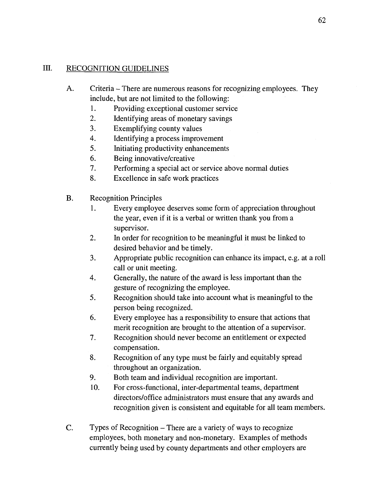# III. RECOGNITION GUIDELINES

- A. Criteria There are numerous reasons for recognizing employees. They include, but are not limited to the following:
	- 1. Providing exceptional customer service
	- 2. Identifying areas of monetary savings
	- 3. Exemplifying county values
	- 4. Identifying a process improvement
	- 5. Initiating productivity enhancements
	- 6. Being innovative/creative
	- 7. Performing a special act or service above normal duties
	- 8. Excellence in safe work practices
- B. Recognition Principles
	- 1. Every employee deserves some form of appreciation throughout the year, even if it is a verbal or written thank you from a supervisor.
	- 2. In order for recognition to be meaningful it must be linked to desired behavior and be timely.
	- 3. Appropriate public recognition can enhance its impact, e.g. at a roll call or unit meeting.
	- 4. Generally, the nature of the award is less important than the gesture of recognizing the employee.
	- 5. Recognition should take into account what is meaningful to the person being recognized.
	- 6. Every employee has a responsibility to ensure that actions that merit recognition are brought to the attention of a supervisor.
	- 7. Recognition should never become an entitlement or expected compensation.
	- 8. Recognition of any type must be fairly and equitably spread throughout an organization.
	- 9. Both team and individual recognition are important.
	- 10. For cross-functional, inter-departmental teams, department directors/office administrators must ensure that any awards and recognition given is consistent and equitable for all team members.
- C. Types of Recognition There are a variety of ways to recognize employees, both monetary and non-monetary. Examples of methods currently being used by county departments and other employers are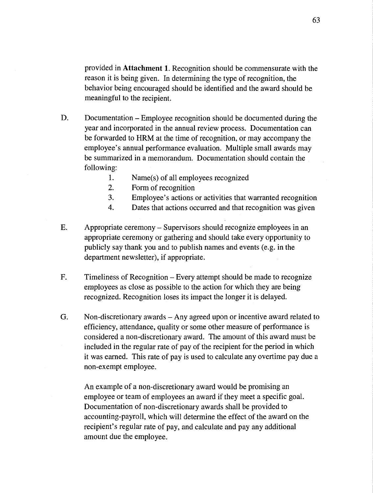provided in **Attachment 1.** Recognition should be commensurate with the reason it is being given. In determining the type of recognition, the behavior being encouraged should be identified and the award should be meaningful to the recipient.

- D. Documentation Employee recognition should be documented during the year and incorporated in the annual review process. Documentation can be forwarded to HRM at the time of recognition, or may accompany the employee's annual performance evaluation. Multiple small awards may be summarized in a memorandum. Documentation should contain the following:
	- 1. Name(s) of all employees recognized
	- 2. Form of recognition
	- 3. Employee's actions or activities that warranted recognition
	- 4. Dates that actions occurred and that recognition was given
- E. Appropriate ceremony Supervisors should recognize employees in an appropriate ceremony or gathering and should take every opportunity to publicly say thank you and to publish names and events (e.g. in the department newsletter), if appropriate.
- F. Timeliness of Recognition Every attempt should be made to recognize employees as close as possible to the action for which they are being recognized. Recognition loses its impact the longer it is delayed.
- G. Non-discretionary awards -Any agreed upon or incentive award related to efficiency, attendance, quality or some other measure of performance is considered a non-discretionary award. The amount of this award must be included in the regular rate of pay of the recipient for the period in which it was earned. This rate of pay is used to calculate any overtime pay due a non-exempt employee.

An example of a non-discretionary award would be promising an employee or team of employees an award if they meet a specific goal. Documentation of non-discretionary awards shall be provided to accounting-payroll, which will determine the effect of the award on the recipient's regular rate of pay, and calculate and pay any additional amount due the employee.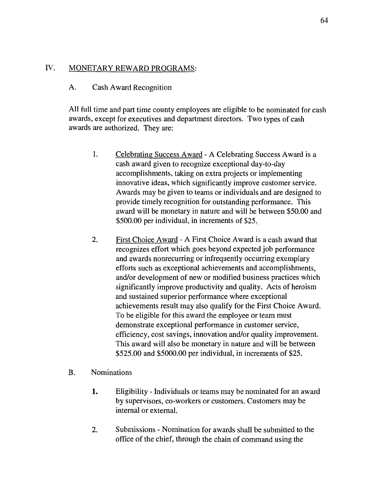# IV. MONETARY REWARD PROGRAMS:

# A. Cash Award Recognition

All full time and part time county employees are eligible to be nominated for cash awards, except for executives and department directors. Two types of cash awards are authorized. They are:

- 1. Celebrating Success Award A Celebrating Success Award is a cash award given to recognize exceptional day-to-day accomplishments, taking on extra projects or implementing innovative ideas, which significantly improve customer service. Awards may be given to teams or individuals and are designed to provide timely recognition for outstanding performance. This award will be monetary in nature and will be between \$50.00 and \$500.00 per individual, in increments of \$25.
- 2. First Choice Award A First Choice A ward is a cash award that recognizes effort which goes beyond expected job performance and awards nonrecurring or infrequently occurring exemplary efforts such as exceptional achievements and accomplishments, and/or development of new or modified business practices which significantly improve productivity and quality. Acts of heroism and sustained superior performance where exceptional achievements result may also qualify for the First Choice Award. To be eligible for this award the employee or team must demonstrate exceptional performance in customer service, efficiency, cost savings, innovation and/or quality improvement. This award will also be monetary in nature and will be between \$525.00 and \$5000.00 per individual, in increments of \$25.
- B. Nominations
	- 1. Eligibility Individuals or teams may be nominated for an award by supervisors, co-workers or customers. Customers may be internal or external.
	- 2. Submissions Nomination for awards shall be submitted to the office of the chief, through the chain of command using the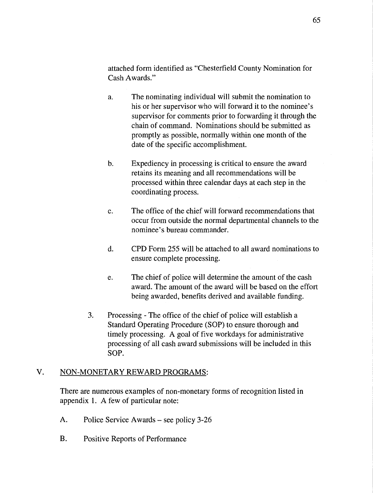attached form identified as "Chesterfield County Nomination for Cash Awards."

- a. The nominating individual will submit the nomination to his or her supervisor who will forward it to the nominee's supervisor for comments prior to forwarding it through the chain of command. Nominations should be submitted as promptly as possible, normally within one month of the date of the specific accomplishment.
- b. Expediency in processing is critical to ensure the award retains its meaning and all recommendations will be processed within three calendar days at each step in the coordinating process.
- c. The office of the chief will forward recommendations that occur from outside the normal departmental channels to the nominee's bureau commander.
- d. CPD Form 255 will be attached to all award nominations to ensure complete processing.
- e. The chief of police will determine the amount of the cash award. The amount of the award will be based on the effort being awarded, benefits derived and available funding.
- 3. Processing The office of the chief of police will establish a Standard Operating Procedure (SOP) to ensure thorough and timely processing. A goal of five workdays for administrative processing of all cash award submissions will be included in this SOP.

# V. NON-MONETARY REWARD PROGRAMS:

There are numerous examples of non-monetary forms of recognition listed in appendix 1. A few of particular note:

- A. Police Service Awards see policy 3-26
- B. Positive Reports of Performance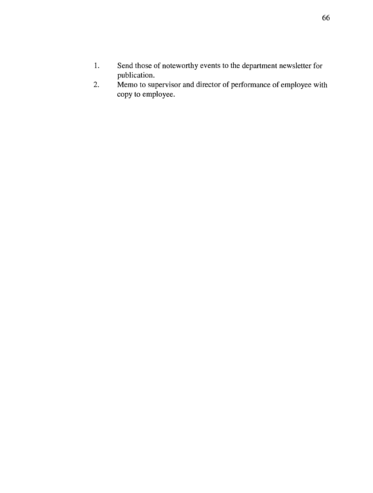- 1. Send those of noteworthy events to the department newsletter for publication.
- 2. Memo to supervisor and director of performance of employee with copy to employee.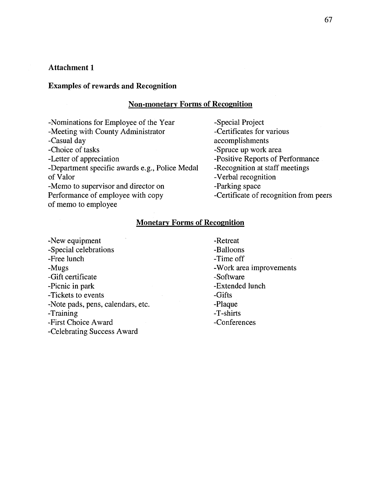## Attachment 1

## Examples of rewards and Recognition

## Non-monetary Forms of Recognition

| -Nominations for Employee of the Year          | -Special Project    |
|------------------------------------------------|---------------------|
| -Meeting with County Administrator             | -Certificates for v |
| -Casual day                                    | accomplishments     |
| -Choice of tasks                               | -Spruce up work     |
| -Letter of appreciation                        | -Positive Reports   |
| -Department specific awards e.g., Police Medal | -Recognition at st  |
| of Valor                                       | -Verbal recognition |
| -Memo to supervisor and director on            | -Parking space      |
| Performance of employee with copy              | -Certificate of rec |
| of memo to employee                            |                     |
|                                                |                     |

arious accomplishments area of Performance taff meetings on cognition from peers

# Monetary Forms of Recognition

-New equipment -Retreat -Special celebrations **-Balloons** -Free lunch -Time off -Mugs - Work area improvements -Gift certificate  $-$ Software -Picnic in park  $-$ Extended lunch -Tickets to events -Gifts -Note pads, pens, calendars, etc. -Plaque -Training -T-shirts -First Choice Award -Conferences -Celebrating Success Award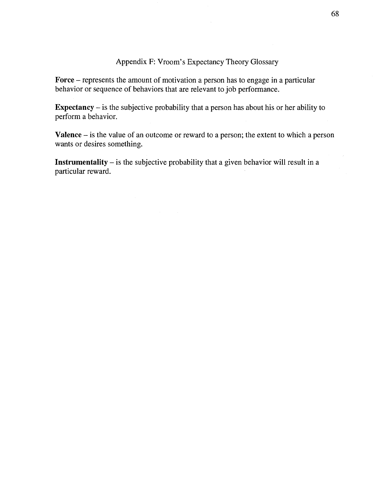Appendix F: Vroom's Expectancy Theory Glossary

**Force** - represents the amount of motivation a person has to engage in a particular behavior or sequence of behaviors that are relevant to job performance.

**Expectancy** - is the subjective probability that a person has about his or her ability to perform a behavior.

**Valence** - is the value of an outcome or reward to a person; the extent to which a person wants or desires something.

**Instrumentality** – is the subjective probability that a given behavior will result in a particular reward.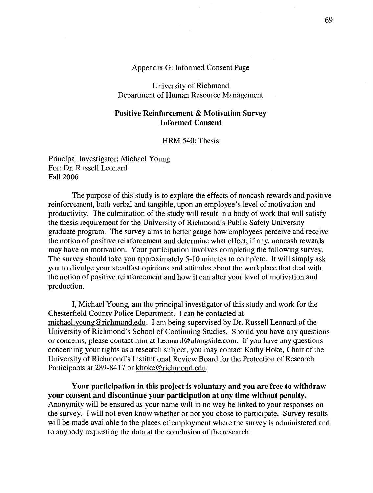#### Appendix G: Informed Consent Page

University of Richmond Department of Human Resource Management

# Positive Reinforcement & Motivation Survey Informed Consent

#### HRM 540: Thesis

Principal Investigator: Michael Young For: Dr. Russell Leonard Fall 2006

The purpose of this study is to explore the effects of noncash rewards and positive reinforcement, both verbal and tangible, upon an employee's level of motivation and productivity. The culmination of the study will result in a body of work that will satisfy the thesis requirement for the University of Richmond's Public Safety University graduate program. The survey aims to better gauge how employees perceive and receive the notion of positive reinforcement and determine what effect, if any, noncash rewards may have on motivation. Your participation involves completing the following survey. The survey should take you approximately 5-10 minutes to complete. It will simply ask you to divulge your steadfast opinions and attitudes about the workplace that deal with the notion of positive reinforcement and how it can alter your level of motivation and production.

I, Michael Young, am the principal investigator of this study and work for the Chesterfield County Police Department. I can be contacted at michael.young@richmond.edu. I am being supervised by Dr. Russell Leonard of the University of Richmond's School of Continuing Studies. Should you have any questions or concerns, please contact him at Leonard@alongside.com. If you have any questions concerning your rights as a research subject, you may contact Kathy Hoke, Chair of the University of Richmond's Institutional Review Board for the Protection of Research Participants at 289-8417 or khoke@richmond.edu.

Your participation in this project is voluntary and you are free to withdraw your consent and discontinue your participation at any time without penalty. Anonymity will be ensured as your name will in no way be linked to your responses on the survey. I will not even know whether or not you chose to participate. Survey results will be made available to the places of employment where the survey is administered and to anybody requesting the data at the conclusion of the research.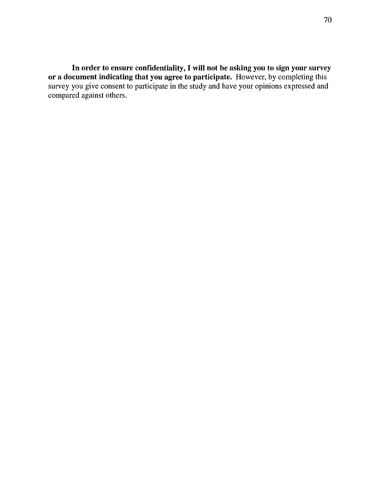In order to ensure confidentiality, I will not be asking you to sign your survey or a document indicating that you agree to participate. However, by completing this survey you give consent to participate in the study and have your opinions expressed and compared against others.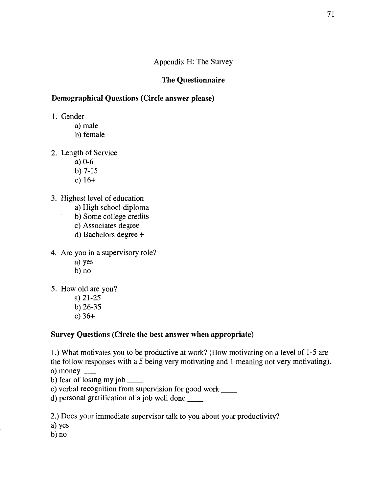# Appendix H: The Survey

# The Questionnaire

### Demographical Questions (Circle answer please)

- 1. Gender
	- a) male
	- b) female
- 2. Length of Service
	- a) 0-6
	- b) 7-15
	- c) 16+
- 3. Highest level of education
	- a) High school diploma
	- b) Some college credits
	- c) Associates degree
	- d) Bachelors degree +
- 4. Are you in a supervisory role?
	- a) yes
	- b) no
- 5. How old are you?
	- a) 21-25 b) 26-35 c) 36+

# Survey Questions (Circle the best answer when appropriate)

1.) What motivates you to be productive at work? (How motivating on a level of 1-5 are the follow responses with a 5 being very motivating and 1 meaning not very motivating). a) money  $\qquad$ 

b) fear of losing my job \_\_\_\_\_\_

c) verbal recognition from supervision for good work \_\_

d) personal gratification of a job well done \_\_

2.) Does your immediate supervisor talk to you about your productivity?

a) yes

b) no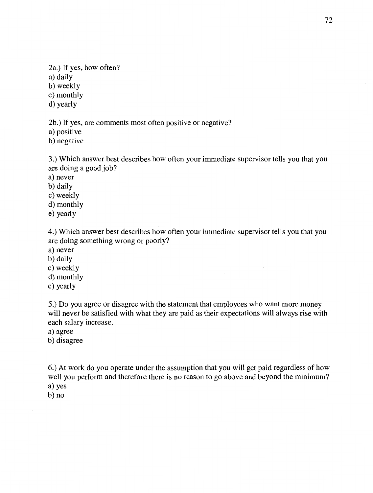2a.) If yes, how often? a) daily b) weekly

c) monthly

d) yearly

2b.) If yes, are comments most often positive or negative? a) positive

b) negative

3.) Which answer best describes how often your immediate supervisor tells you that you are doing a good job?

a) never

b) daily

c) weekly

d) monthly

e) yearly

4.) Which answer best describes how often your immediate supervisor tells you that you are doing something wrong or poorly?

a) never

b) daily

c) weekly

d) monthly

e) yearly

5.) Do you agree or disagree with the statement that employees who want more money will never be satisfied with what they are paid as their expectations will always rise with each salary increase.

a) agree

b) disagree

6.) At work do you operate under the assumption that you will get paid regardless of how well you perform and therefore there is no reason to go above and beyond the minimum? a) yes

b) no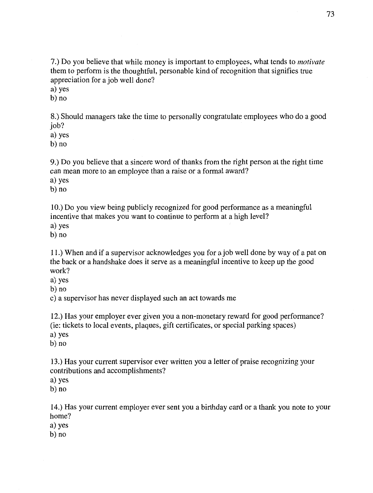7.) Do you believe that while money is important to employees, what tends to *motivate*  them to perform is the thoughtful, personable kind of recognition that signifies true appreciation for a job well done?

a) yes

b) no

8.) Should managers take the time to personally congratulate employees who do a good job?

a) yes

b) no

9.) Do you believe that a sincere word of thanks from the right person at the right time can mean more to an employee than a raise or a formal award?

a) yes

b) no

10.) Do you view being publicly recognized for good performance as a meaningful incentive that makes you want to continue to perform at a high level?

a) yes

b) no

11.) When and if a supervisor acknowledges you for a job well done by way of a pat on the back or a handshake does it serve as a meaningful incentive to keep up the good work?

- a) yes
- b) no

c) a supervisor has never displayed such an act towards me

12.) Has your employer ever given you a non-monetary reward for good performance? (ie: tickets to local events, plaques, gift certificates, or special parking spaces)

a) yes

b) no

13.) Has your current supervisor ever written you a letter of praise recognizing your contributions and accomplishments?

a) yes

b) no

14.) Has your current employer ever sent you a birthday card or a thank you note to your home?

a) yes

b) no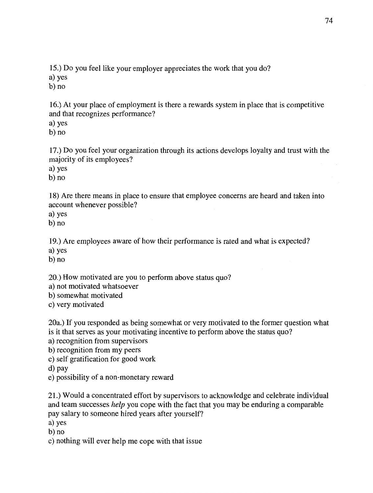15.) Do you feel like your employer appreciates the work that you do?

a) yes

b) no

16.) At your place of employment is there a rewards system in place that is competitive and that recognizes performance?

a) yes

b) no

17.) Do you feel your organization through its actions develops loyalty and trust with the majority of its employees?

a) yes

b) no

18) Are there means in place to ensure that employee concerns are heard and taken into account whenever possible?

a) yes

b) no

19.) Are employees aware of how their performance is rated and what is expected?

a) yes

b) no

20.) How motivated are you to perform above status quo?

a) not motivated whatsoever

b) somewhat motivated

c) very motivated

20a.) If you responded as being somewhat or very motivated to the former question what is it that serves as your motivating incentive to perform above the status quo?

a) recognition from supervisors

b) recognition from my peers

c) self gratification for good work

d) pay

e) possibility of a non-monetary reward

21.) Would a concentrated effort by supervisors to acknowledge and celebrate individual and team successes *help* you cope with the fact that you may be enduring a comparable pay salary to someone hired years after yourself?

a) yes

b) no

c) nothing will ever help me cope with that issue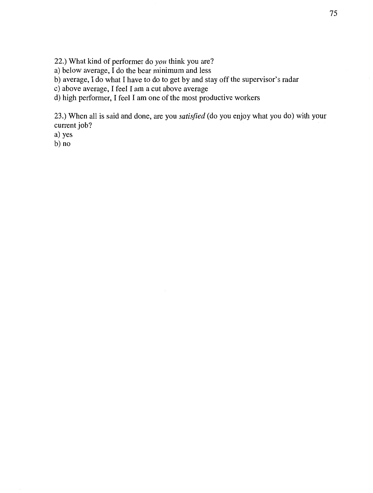22.) What kind of performer do *you* think you are?

a) below average, I do the bear minimum and less

b) average, I do what I have to do to get by and stay off the supervisor's radar

c) above average, I feel I am a cut above average

d) high performer, I feel I am one of the most productive workers

23.) When all is said and done, are you *satisfied* (do you enjoy what you do) with your current job?

a) yes

 $\overline{b}$ ) no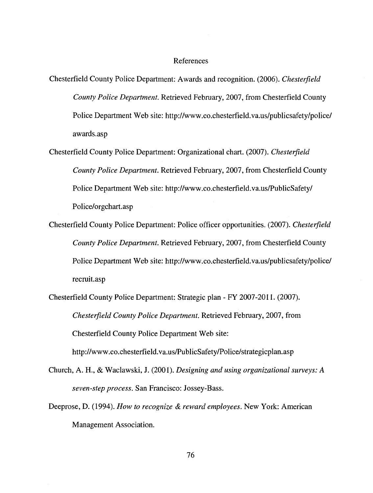#### References

Chesterfield County Police Department: Awards and recognition. (2006). *Chesterfield County Police Department.* Retrieved February, 2007, from Chesterfield County Police Department Web site: http://www.co.chesterfield.va.us/publicsafety/police/ awards.asp

Chesterfield County Police Department: Organizational chart. (2007). *Chesterfield County Police Department.* Retrieved February, 2007, from Chesterfield County Police Department Web site: http://www.co.chesterfield.va.us/PublicSafety/ Police/orgchart.asp

Chesterfield County Police Department: Police officer opportunities. (2007). *Chesterfield County Police Department.* Retrieved February, 2007, from Chesterfield County Police Department Web site: http://www.co.chesterfield.va.us/publicsafety/police/ recruit.asp

Chesterfield County Police Department: Strategic plan - FY 2007-2011. (2007). *Chesterfield County Police Department.* Retrieved February, 2007, from Chesterfield County Police Department Web site:

http://www.co.chesterfield.va.us/PublicSafety/Police/strategicplan.asp

- Church, A.H., & Waclawski, J. (2001). *Designing and using organizational surveys: A seven-step process.* San Francisco: Jossey-Bass.
- Deeprose, D. (1994). *How to recognize* & *reward employees.* New York: American Management Association.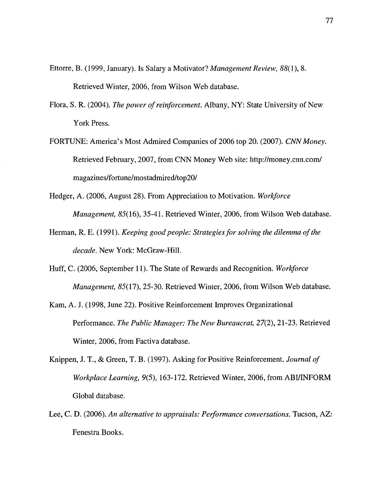- Ettorre, B. (1999, January). Is Salary a Motivator? *Management Review, 88(1),* 8. Retrieved Winter, 2006, from Wilson Web database.
- Flora, S. R. (2004). *The power of reinforcement.* Albany, NY: State University of New York Press.
- FORTUNE: America's Most Admired Companies of 2006 top 20. (2007). *CNN Money.*  Retrieved February, 2007, from CNN Money Web site: http://money.cnn.com/ magazines/fortune/mostadmired/top20/
- Hedger, A. (2006, August 28). From Appreciation to Motivation. *Workforce Management, 85(16),* 35-41. Retrieved Winter, 2006, from Wilson Web database.
- Herman, R. E. ( 1991 ). *Keeping good people: Strategies for solving the dilemma of the decade.* New York: McGraw-Hill.
- Huff, C. (2006, September 11 ). The State of Rewards and Recognition. *Workforce Management,* 85(17), 25-30. Retrieved Winter, 2006, from Wilson Web database.
- Kam, A. J. (1998, June 22). Positive Reinforcement Improves Organizational Performance. *The Public Manager: The New Bureaucrat,* 27(2), 21-23. Retrieved Winter, 2006, from Factiva database.
- Knippen, J. T., & Green, T. B. (1997). Asking for Positive Reinforcement. *Journal of Workplace Leaming,* 9(5), 163-172. Retrieved Winter, 2006, from ABl/INFORM Global database.
- Lee, C. D. (2006). *An alternative to appraisals: Perfonnance conversations.* Tucson, AZ: Fenestra Books.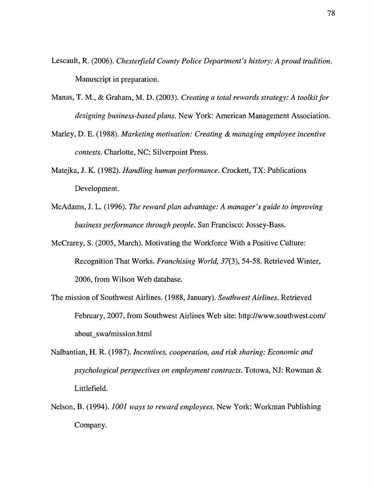- Lescault, R. (2006). *Chesterfield County Police Department's history: A proud tradition.*  Manuscript in preparation.
- Manas, T. M., & Graham, M. D. (2003). *Creating a total rewards strategy: A toolkit for designing business-based plans.* New York: American Management Association.
- Marley, D. E. (1988). *Marketing motivation: Creating* & *managing employee incentive contests.* Charlotte, NC: Silverpoint Press.
- Matejka, J. K. (1982). *Handling human performance.* Crockett, TX: Publications Development.
- McAdams, J. L. (1996). *The reward plan advantage: A manager's guide to improving business performance through people.* San Francisco: Jossey-Bass.
- McCrarey, S. (2005, March). Motivating the Workforce With a Positive Culture: Recognition That Works. *Franchising World, 37(3),* 54-58. Retrieved Winter, 2006, from Wilson Web database.
- The mission of Southwest Airlines. ( 1988, January). *Southwest Airlines.* Retrieved February, 2007, from Southwest Airlines Web site: http://www.southwest.com/ about\_swa/mission.html
- Nalbantian, H. R. (1987). *Incentives, cooperation, and risk sharing: Economic and psychological perspectives on employment contracts.* Totowa, NJ: Rowman & Littlefield.
- Nelson, B. (1994). *1001 ways to reward employees.* New York: Workman Publishing Company.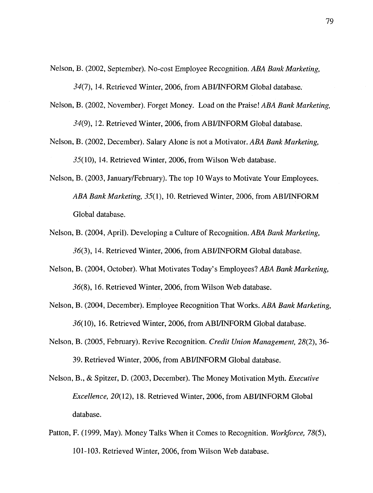Nelson, B. (2002, September). No-cost Employee Recognition. *ABA Bank Marketing,* 

34(7), 14. Retrieved Winter, 2006, from ABI/INFORM Global database.

Nelson, B. (2002, November). Forget Money. Load on the Praise! *ABA Bank Marketing,* 

34(9), 12. Retrieved Winter, 2006, from ABI/INFORM Global database.

- Nelson, B. (2002, December). Salary Alone is not a Motivator. *ABA Bank Marketing, 35(10),* 14. Retrieved Winter, 2006, from Wilson Web database.
- Nelson, B. (2003, January/February). The top 10 Ways to Motivate Your Employees. *ABA Bank Marketing, 35(1),* 10. Retrieved Winter, 2006, from ABI/INFORM Global database.
- Nelson, B. (2004, April). Developing a Culture of Recognition. *ABA Bank Marketing, 36(3),* 14. Retrieved Winter, 2006, from ABI/INFORM Global database.
- Nelson, B. (2004, October). What Motivates Today's Employees? *ABA Bank Marketing,*  36(8), 16. Retrieved Winter, 2006, from Wilson Web database.
- Nelson, B. (2004, December). Employee Recognition That Works. *ABA Bank Marketing, 36(10),* 16. Retrieved Winter, 2006, from ABI/INFORM Global database.
- Nelson, B. (2005, February). Revive Recognition. *Credit Union Management,* 28(2), 36- 39. Retrieved Winter, 2006, from ABI/INFORM Global database.
- Nelson, B., & Spitzer, D. (2003, December). The Money Motivation Myth. *Executive Excellence,* 20(12), 18. Retrieved Winter, 2006, from ABI/INFORM Global database.
- Patton, F. (1999, May). Money Talks When it Comes to Recognition. *Workforce,* 78(5), 101-103. Retrieved Winter, 2006, from Wilson Web database.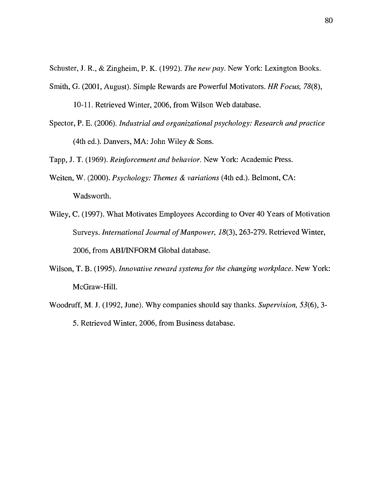Schuster, J. R., & Zingheim, P. K. (1992). *The new pay.* New York: Lexington Books.

Smith, G. (2001, August). Simple Rewards are Powerful Motivators. *HR Focus, 78(8),* 

10-11. Retrieved Winter, 2006, from Wilson Web database.

Spector, P. E. (2006). *Industrial and organizational psychology: Research and practice*  (4th ed.). Danvers, MA: John Wiley & Sons.

Tapp, J. T. (1969). *Reinforcement and behavior.* New York: Academic Press.

- Weiten, W. (2000). *Psychology: Themes* & *variations* (4th ed.). Belmont, CA: Wadsworth.
- Wiley, C. (1997). What Motivates Employees According to Over 40 Years of Motivation Surveys. *International Journal of Manpower, 18(3),* 263-279. Retrieved Winter, 2006, from ABI/INFORM Global database.
- Wilson, T. B. (1995). *Innovative reward systems for the changing workplace.* New York: McGraw-Hill.
- Woodruff, M. J. (1992, June). Why companies should say thanks. *Supervision,* 53(6), 3- 5. Retrieved Winter, 2006, from Business database.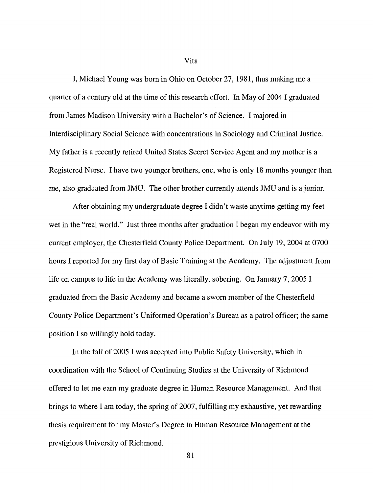Vita

I, Michael Young was born in Ohio on October 27, 1981, thus making me a quarter of a century old at the time of this research effort. In May of 2004 I graduated from James Madison University with a Bachelor's of Science. I majored in Interdisciplinary Social Science with concentrations in Sociology and Criminal Justice. My father is a recently retired United States Secret Service Agent and my mother is a Registered Nurse. I have two younger brothers, one, who is only 18 months younger than me, also graduated from JMU. The other brother currently attends JMU and is a junior.

After obtaining my undergraduate degree I didn't waste anytime getting my feet wet in the "real world." Just three months after graduation I began my endeavor with my current employer, the Chesterfield County Police Department. On July 19, 2004 at 0700 hours I reported for my first day of Basic Training at the Academy. The adjustment from life on campus to life in the Academy was literally, sobering. On January 7, 2005 I graduated from the Basic Academy and became a sworn member of the Chesterfield County Police Department's Uniformed Operation's Bureau as a patrol officer; the same position I so willingly hold today.

In the fall of 2005 I was accepted into Public Safety University, which in coordination with the School of Continuing Studies at the University of Richmond offered to let me earn my graduate degree in Human Resource Management. And that brings to where I am today, the spring of 2007, fulfilling my exhaustive, yet rewarding thesis requirement for my Master's Degree in Human Resource Management at the prestigious University of Richmond.

81